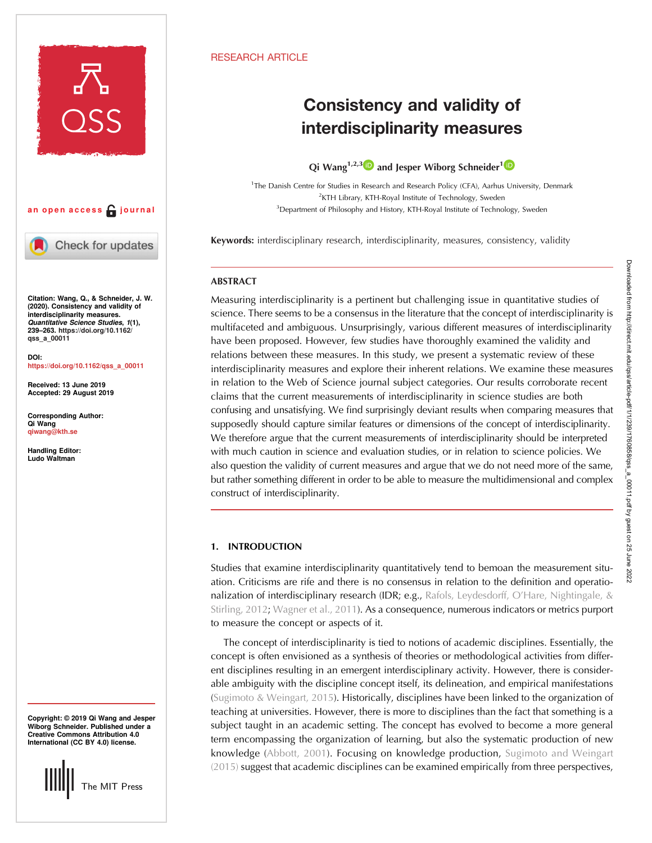

# an open access  $\bigcap$  journal

Check for updates

Citation: Wang, Q., & Schneider, J. W. (2020). Consistency and validity of interdisciplinarity measures. Quantitative Science Studies, 1(1), 239–263. [https://doi.org/10.1162/](https://doi.org/10.1162/qss_a_00011) [qss\\_a\\_00011](https://doi.org/10.1162/qss_a_00011)

DOI: [https://doi.org/10.1162/qss\\_a\\_00011](https://doi.org/10.1162/qss_a_00011)

Received: 13 June 2019 Accepted: 29 August 2019

Corresponding Author: Qi Wang [qiwang@kth.se](mailto:qiwang@kth.se)

Handling Editor: Ludo Waltman

Copyright: © 2019 Qi Wang and Jesper Wiborg Schneider. Published under a Creative Commons Attribution 4.0 International (CC BY 4.0) license.



# **RESEARCH ARTICLE**

# Consistency and validity of interdisciplinarity measures

Qi Wang<sup>[1](https://orcid.org/0000-0001-5556-0919),2,3</sup> and Jesper Wiborg Schneider<sup>1</sup>

<sup>1</sup>The Danish Centre for Studies in Research and Research Policy (CFA), Aarhus University, Denmark <sup>2</sup>KTH Library, KTH-Royal Institute of Technology, Sweden <sup>3</sup>Department of Philosophy and History, KTH-Royal Institute of Technology, Sweden

Keywords: interdisciplinary research, interdisciplinarity, measures, consistency, validity

# **ABSTRACT**

Measuring interdisciplinarity is a pertinent but challenging issue in quantitative studies of science. There seems to be a consensus in the literature that the concept of interdisciplinarity is multifaceted and ambiguous. Unsurprisingly, various different measures of interdisciplinarity have been proposed. However, few studies have thoroughly examined the validity and relations between these measures. In this study, we present a systematic review of these interdisciplinarity measures and explore their inherent relations. We examine these measures in relation to the Web of Science journal subject categories. Our results corroborate recent claims that the current measurements of interdisciplinarity in science studies are both confusing and unsatisfying. We find surprisingly deviant results when comparing measures that supposedly should capture similar features or dimensions of the concept of interdisciplinarity. We therefore argue that the current measurements of interdisciplinarity should be interpreted with much caution in science and evaluation studies, or in relation to science policies. We also question the validity of current measures and argue that we do not need more of the same, but rather something different in order to be able to measure the multidimensional and complex construct of interdisciplinarity.

# 1. INTRODUCTION

Studies that examine interdisciplinarity quantitatively tend to bemoan the measurement situation. Criticisms are rife and there is no consensus in relation to the definition and operatio-nalization of interdisciplinary research (IDR; e.g., [Rafols, Leydesdorff, O](#page-19-0)'Hare, Nightingale, & [Stirling, 2012;](#page-19-0) [Wagner et al., 2011\)](#page-20-0). As a consequence, numerous indicators or metrics purport to measure the concept or aspects of it.

The concept of interdisciplinarity is tied to notions of academic disciplines. Essentially, the concept is often envisioned as a synthesis of theories or methodological activities from different disciplines resulting in an emergent interdisciplinary activity. However, there is considerable ambiguity with the discipline concept itself, its delineation, and empirical manifestations ([Sugimoto & Weingart, 2015\)](#page-19-0). Historically, disciplines have been linked to the organization of teaching at universities. However, there is more to disciplines than the fact that something is a subject taught in an academic setting. The concept has evolved to become a more general term encompassing the organization of learning, but also the systematic production of new knowledge ([Abbott, 2001](#page-18-0)). Focusing on knowledge production, [Sugimoto and Weingart](#page-19-0) [\(2015\)](#page-19-0) suggest that academic disciplines can be examined empirically from three perspectives,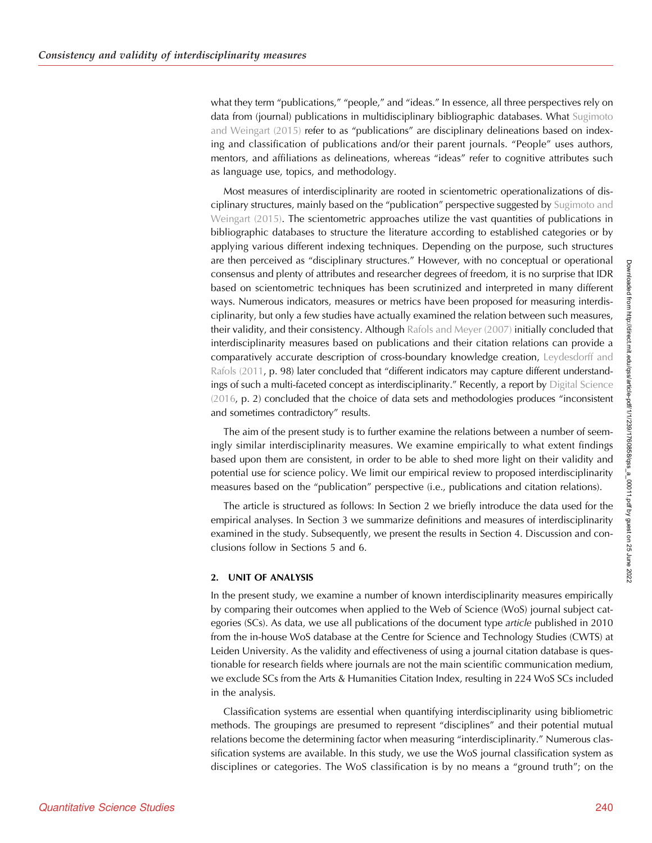what they term "publications," "people," and "ideas." In essence, all three perspectives rely on data from (journal) publications in multidisciplinary bibliographic databases. What [Sugimoto](#page-19-0) [and Weingart \(2015\)](#page-19-0) refer to as "publications" are disciplinary delineations based on indexing and classification of publications and/or their parent journals. "People" uses authors, mentors, and affiliations as delineations, whereas "ideas" refer to cognitive attributes such as language use, topics, and methodology.

Most measures of interdisciplinarity are rooted in scientometric operationalizations of disciplinary structures, mainly based on the "publication" perspective suggested by [Sugimoto and](#page-19-0) [Weingart \(2015\).](#page-19-0) The scientometric approaches utilize the vast quantities of publications in bibliographic databases to structure the literature according to established categories or by applying various different indexing techniques. Depending on the purpose, such structures are then perceived as "disciplinary structures." However, with no conceptual or operational consensus and plenty of attributes and researcher degrees of freedom, it is no surprise that IDR based on scientometric techniques has been scrutinized and interpreted in many different ways. Numerous indicators, measures or metrics have been proposed for measuring interdisciplinarity, but only a few studies have actually examined the relation between such measures, their validity, and their consistency. Although [Rafols and Meyer \(2007\)](#page-19-0) initially concluded that interdisciplinarity measures based on publications and their citation relations can provide a comparatively accurate description of cross-boundary knowledge creation, [Leydesdorff and](#page-19-0) [Rafols \(2011,](#page-19-0) p. 98) later concluded that "different indicators may capture different understand-ings of such a multi-faceted concept as interdisciplinarity." Recently, a report by [Digital Science](#page-18-0) [\(2016,](#page-18-0) p. 2) concluded that the choice of data sets and methodologies produces "inconsistent and sometimes contradictory" results.

The aim of the present study is to further examine the relations between a number of seemingly similar interdisciplinarity measures. We examine empirically to what extent findings based upon them are consistent, in order to be able to shed more light on their validity and potential use for science policy. We limit our empirical review to proposed interdisciplinarity measures based on the "publication" perspective (i.e., publications and citation relations).

The article is structured as follows: In Section 2 we briefly introduce the data used for the empirical analyses. In Section 3 we summarize definitions and measures of interdisciplinarity examined in the study. Subsequently, we present the results in Section 4. Discussion and conclusions follow in Sections 5 and 6.

#### 2. UNIT OF ANALYSIS

In the present study, we examine a number of known interdisciplinarity measures empirically by comparing their outcomes when applied to the Web of Science (WoS) journal subject categories (SCs). As data, we use all publications of the document type article published in 2010 from the in-house WoS database at the Centre for Science and Technology Studies (CWTS) at Leiden University. As the validity and effectiveness of using a journal citation database is questionable for research fields where journals are not the main scientific communication medium, we exclude SCs from the Arts & Humanities Citation Index, resulting in 224 WoS SCs included in the analysis.

Classification systems are essential when quantifying interdisciplinarity using bibliometric methods. The groupings are presumed to represent "disciplines" and their potential mutual relations become the determining factor when measuring "interdisciplinarity." Numerous classification systems are available. In this study, we use the WoS journal classification system as disciplines or categories. The WoS classification is by no means a "ground truth"; on the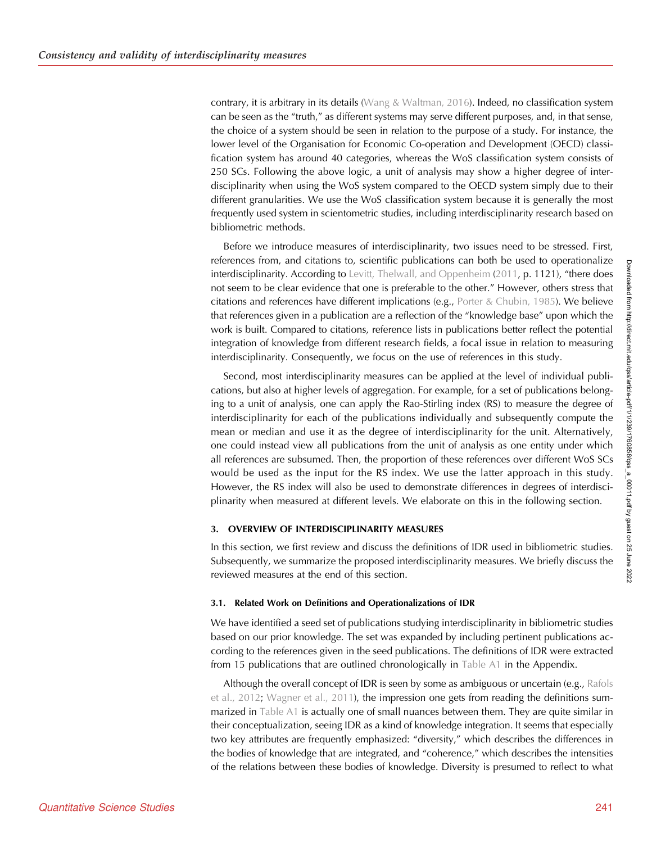contrary, it is arbitrary in its details ([Wang & Waltman, 2016\)](#page-20-0). Indeed, no classification system can be seen as the "truth," as different systems may serve different purposes, and, in that sense, the choice of a system should be seen in relation to the purpose of a study. For instance, the lower level of the Organisation for Economic Co-operation and Development (OECD) classification system has around 40 categories, whereas the WoS classification system consists of 250 SCs. Following the above logic, a unit of analysis may show a higher degree of interdisciplinarity when using the WoS system compared to the OECD system simply due to their different granularities. We use the WoS classification system because it is generally the most frequently used system in scientometric studies, including interdisciplinarity research based on bibliometric methods.

Before we introduce measures of interdisciplinarity, two issues need to be stressed. First, references from, and citations to, scientific publications can both be used to operationalize interdisciplinarity. According to [Levitt, Thelwall, and Oppenheim](#page-19-0) ([2011,](#page-19-0) p. 1121), "there does not seem to be clear evidence that one is preferable to the other." However, others stress that citations and references have different implications (e.g., [Porter & Chubin, 1985\)](#page-19-0). We believe that references given in a publication are a reflection of the "knowledge base" upon which the work is built. Compared to citations, reference lists in publications better reflect the potential integration of knowledge from different research fields, a focal issue in relation to measuring interdisciplinarity. Consequently, we focus on the use of references in this study.

Second, most interdisciplinarity measures can be applied at the level of individual publications, but also at higher levels of aggregation. For example, for a set of publications belonging to a unit of analysis, one can apply the Rao-Stirling index (RS) to measure the degree of interdisciplinarity for each of the publications individually and subsequently compute the mean or median and use it as the degree of interdisciplinarity for the unit. Alternatively, one could instead view all publications from the unit of analysis as one entity under which all references are subsumed. Then, the proportion of these references over different WoS SCs would be used as the input for the RS index. We use the latter approach in this study. However, the RS index will also be used to demonstrate differences in degrees of interdisciplinarity when measured at different levels. We elaborate on this in the following section.

# 3. OVERVIEW OF INTERDISCIPLINARITY MEASURES

In this section, we first review and discuss the definitions of IDR used in bibliometric studies. Subsequently, we summarize the proposed interdisciplinarity measures. We briefly discuss the reviewed measures at the end of this section.

## 3.1. Related Work on Definitions and Operationalizations of IDR

We have identified a seed set of publications studying interdisciplinarity in bibliometric studies based on our prior knowledge. The set was expanded by including pertinent publications according to the references given in the seed publications. The definitions of IDR were extracted from 15 publications that are outlined chronologically in [Table A1](#page-20-0) in the Appendix.

Although the overall concept of IDR is seen by some as ambiguous or uncertain (e.g., [Rafols](#page-19-0) [et al., 2012;](#page-19-0) [Wagner et al., 2011](#page-20-0)), the impression one gets from reading the definitions summarized in [Table A1](#page-20-0) is actually one of small nuances between them. They are quite similar in their conceptualization, seeing IDR as a kind of knowledge integration. It seems that especially two key attributes are frequently emphasized: "diversity," which describes the differences in the bodies of knowledge that are integrated, and "coherence," which describes the intensities of the relations between these bodies of knowledge. Diversity is presumed to reflect to what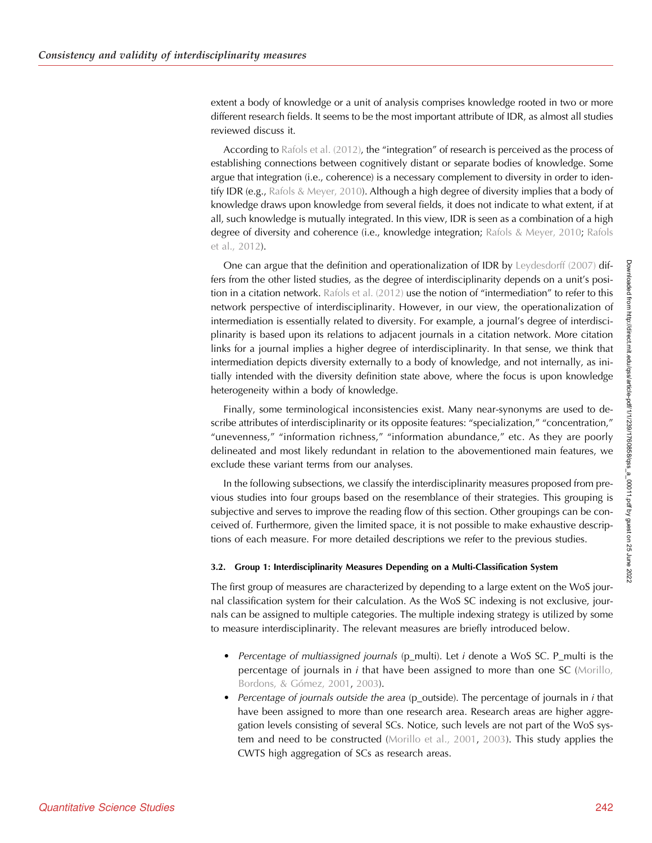Downloaded from http://direct.mit.edu/qss/article-pdf/1/1/239/1760858/qss\_a\_00011.pdf by guest on 25 June Downloaded from http://direct.mit.edu/qss/article-pdf/1/1/239/1760858/qss\_a\_00011.pdf by guest on 25 June 2022

2022

extent a body of knowledge or a unit of analysis comprises knowledge rooted in two or more different research fields. It seems to be the most important attribute of IDR, as almost all studies reviewed discuss it.

According to [Rafols et al. \(2012\)](#page-19-0), the "integration" of research is perceived as the process of establishing connections between cognitively distant or separate bodies of knowledge. Some argue that integration (i.e., coherence) is a necessary complement to diversity in order to identify IDR (e.g., [Rafols & Meyer, 2010\)](#page-19-0). Although a high degree of diversity implies that a body of knowledge draws upon knowledge from several fields, it does not indicate to what extent, if at all, such knowledge is mutually integrated. In this view, IDR is seen as a combination of a high degree of diversity and coherence (i.e., knowledge integration; [Rafols & Meyer, 2010;](#page-19-0) [Rafols](#page-19-0) [et al., 2012\)](#page-19-0).

One can argue that the definition and operationalization of IDR by [Leydesdorff \(2007\)](#page-19-0) differs from the other listed studies, as the degree of interdisciplinarity depends on a unit's position in a citation network. [Rafols et al. \(2012\)](#page-19-0) use the notion of "intermediation" to refer to this network perspective of interdisciplinarity. However, in our view, the operationalization of intermediation is essentially related to diversity. For example, a journal's degree of interdisciplinarity is based upon its relations to adjacent journals in a citation network. More citation links for a journal implies a higher degree of interdisciplinarity. In that sense, we think that intermediation depicts diversity externally to a body of knowledge, and not internally, as initially intended with the diversity definition state above, where the focus is upon knowledge heterogeneity within a body of knowledge.

Finally, some terminological inconsistencies exist. Many near-synonyms are used to describe attributes of interdisciplinarity or its opposite features: "specialization," "concentration," "unevenness," "information richness," "information abundance," etc. As they are poorly delineated and most likely redundant in relation to the abovementioned main features, we exclude these variant terms from our analyses.

In the following subsections, we classify the interdisciplinarity measures proposed from previous studies into four groups based on the resemblance of their strategies. This grouping is subjective and serves to improve the reading flow of this section. Other groupings can be conceived of. Furthermore, given the limited space, it is not possible to make exhaustive descriptions of each measure. For more detailed descriptions we refer to the previous studies.

# 3.2. Group 1: Interdisciplinarity Measures Depending on a Multi-Classification System

The first group of measures are characterized by depending to a large extent on the WoS journal classification system for their calculation. As the WoS SC indexing is not exclusive, journals can be assigned to multiple categories. The multiple indexing strategy is utilized by some to measure interdisciplinarity. The relevant measures are briefly introduced below.

- Percentage of multiassigned journals (p\_multi). Let *i* denote a WoS SC. P\_multi is the percentage of journals in *i* that have been assigned to more than one SC ([Morillo,](#page-19-0) [Bordons, & Gómez, 2001](#page-19-0), [2003\)](#page-19-0).
- Percentage of journals outside the area (p\_outside). The percentage of journals in *i* that have been assigned to more than one research area. Research areas are higher aggregation levels consisting of several SCs. Notice, such levels are not part of the WoS system and need to be constructed ([Morillo et al., 2001,](#page-19-0) [2003](#page-19-0)). This study applies the CWTS high aggregation of SCs as research areas.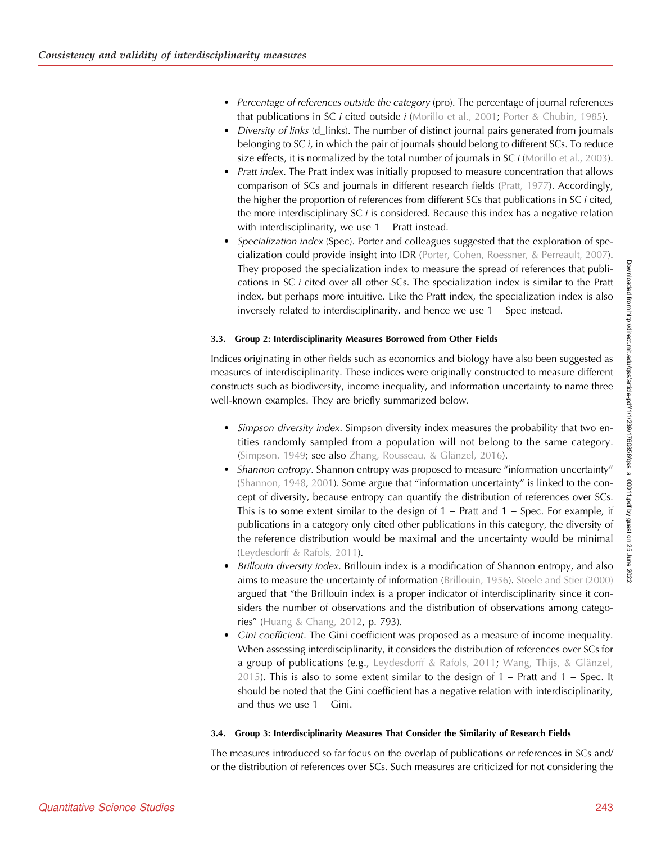- Percentage of references outside the category (pro). The percentage of journal references that publications in SC  $i$  cited outside  $i$  [\(Morillo et al., 2001;](#page-19-0) [Porter & Chubin, 1985](#page-19-0)).
- *Diversity of links* (d\_links). The number of distinct journal pairs generated from journals belonging to SC i, in which the pair of journals should belong to different SCs. To reduce size effects, it is normalized by the total number of journals in SC  $i$  [\(Morillo et al., 2003\)](#page-19-0).
- Pratt index. The Pratt index was initially proposed to measure concentration that allows comparison of SCs and journals in different research fields ([Pratt, 1977\)](#page-19-0). Accordingly, the higher the proportion of references from different SCs that publications in SC i cited, the more interdisciplinary SC  $i$  is considered. Because this index has a negative relation with interdisciplinarity, we use 1 − Pratt instead.
- Specialization index (Spec). Porter and colleagues suggested that the exploration of specialization could provide insight into IDR [\(Porter, Cohen, Roessner, & Perreault, 2007\)](#page-19-0). They proposed the specialization index to measure the spread of references that publications in SC i cited over all other SCs. The specialization index is similar to the Pratt index, but perhaps more intuitive. Like the Pratt index, the specialization index is also inversely related to interdisciplinarity, and hence we use 1 − Spec instead.

# 3.3. Group 2: Interdisciplinarity Measures Borrowed from Other Fields

Indices originating in other fields such as economics and biology have also been suggested as measures of interdisciplinarity. These indices were originally constructed to measure different constructs such as biodiversity, income inequality, and information uncertainty to name three well-known examples. They are briefly summarized below.

- Simpson diversity index. Simpson diversity index measures the probability that two entities randomly sampled from a population will not belong to the same category. ([Simpson, 1949;](#page-19-0) see also [Zhang, Rousseau, & Glänzel, 2016\)](#page-20-0).
- Shannon entropy. Shannon entropy was proposed to measure "information uncertainty" [\(Shannon, 1948](#page-19-0), [2001](#page-19-0)). Some argue that "information uncertainty" is linked to the concept of diversity, because entropy can quantify the distribution of references over SCs. This is to some extent similar to the design of  $1 -$  Pratt and  $1 -$  Spec. For example, if publications in a category only cited other publications in this category, the diversity of the reference distribution would be maximal and the uncertainty would be minimal [\(Leydesdorff & Rafols, 2011](#page-19-0)).
- Brillouin diversity index. Brillouin index is a modification of Shannon entropy, and also aims to measure the uncertainty of information ([Brillouin, 1956\)](#page-18-0). [Steele and Stier \(2000\)](#page-19-0) argued that "the Brillouin index is a proper indicator of interdisciplinarity since it considers the number of observations and the distribution of observations among categories" [\(Huang & Chang, 2012](#page-19-0), p. 793).
- Gini coefficient. The Gini coefficient was proposed as a measure of income inequality. When assessing interdisciplinarity, it considers the distribution of references over SCs for a group of publications (e.g., [Leydesdorff & Rafols, 2011](#page-19-0); [Wang, Thijs, & Glänzel,](#page-20-0) [2015\)](#page-20-0). This is also to some extent similar to the design of 1 − Pratt and 1 − Spec. It should be noted that the Gini coefficient has a negative relation with interdisciplinarity, and thus we use 1 − Gini.

# 3.4. Group 3: Interdisciplinarity Measures That Consider the Similarity of Research Fields

The measures introduced so far focus on the overlap of publications or references in SCs and/ or the distribution of references over SCs. Such measures are criticized for not considering the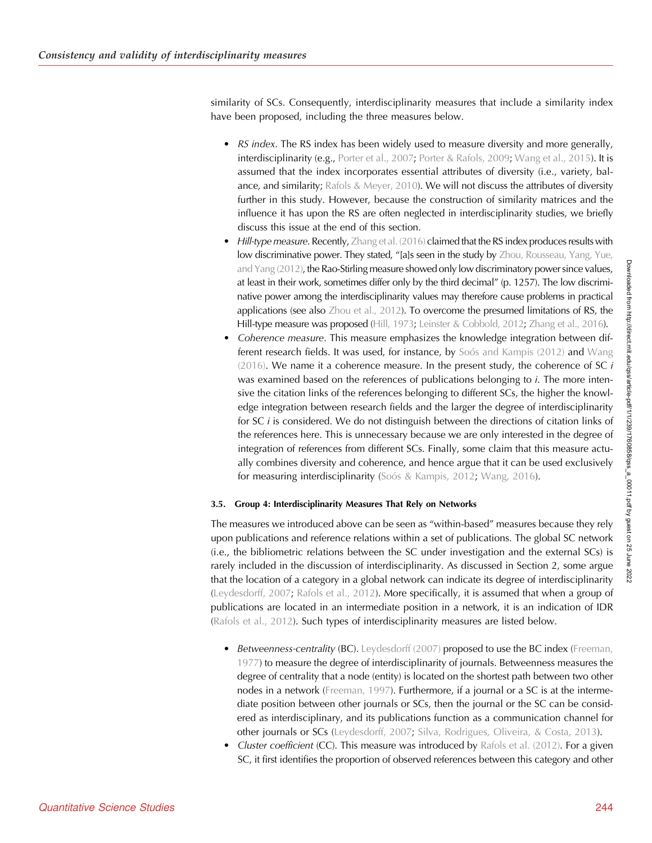similarity of SCs. Consequently, interdisciplinarity measures that include a similarity index have been proposed, including the three measures below.

- RS index. The RS index has been widely used to measure diversity and more generally, interdisciplinarity (e.g., [Porter et al., 2007;](#page-19-0) [Porter & Rafols, 2009;](#page-19-0) [Wang et al., 2015](#page-20-0)). It is assumed that the index incorporates essential attributes of diversity (i.e., variety, balance, and similarity; [Rafols & Meyer, 2010](#page-19-0)). We will not discuss the attributes of diversity further in this study. However, because the construction of similarity matrices and the influence it has upon the RS are often neglected in interdisciplinarity studies, we briefly discuss this issue at the end of this section.
- Hill-type measure. Recently, [Zhang et al. \(2016\)](#page-20-0) claimed that the RS index produces results with low discriminative power. They stated, "[a]s seen in the study by [Zhou, Rousseau, Yang, Yue,](#page-20-0) [and Yang \(2012\)](#page-20-0), the Rao-Stirling measure showed only low discriminatory power since values, at least in their work, sometimes differ only by the third decimal" (p. 1257). The low discriminative power among the interdisciplinarity values may therefore cause problems in practical applications (see also [Zhou et al., 2012\)](#page-20-0). To overcome the presumed limitations of RS, the Hill-type measure was proposed [\(Hill, 1973;](#page-19-0) [Leinster & Cobbold, 2012](#page-19-0); [Zhang et al., 2016\)](#page-20-0).
- Coherence measure. This measure emphasizes the knowledge integration between different research fields. It was used, for instance, by [Soós and Kampis \(2012\)](#page-19-0) and [Wang](#page-20-0)  $(2016)$ . We name it a coherence measure. In the present study, the coherence of SC i was examined based on the references of publications belonging to *i*. The more intensive the citation links of the references belonging to different SCs, the higher the knowledge integration between research fields and the larger the degree of interdisciplinarity for SC i is considered. We do not distinguish between the directions of citation links of the references here. This is unnecessary because we are only interested in the degree of integration of references from different SCs. Finally, some claim that this measure actually combines diversity and coherence, and hence argue that it can be used exclusively for measuring interdisciplinarity [\(Soós & Kampis, 2012](#page-19-0); [Wang, 2016\)](#page-20-0).

# 3.5. Group 4: Interdisciplinarity Measures That Rely on Networks

The measures we introduced above can be seen as "within-based" measures because they rely upon publications and reference relations within a set of publications. The global SC network (i.e., the bibliometric relations between the SC under investigation and the external SCs) is rarely included in the discussion of interdisciplinarity. As discussed in Section 2, some argue that the location of a category in a global network can indicate its degree of interdisciplinarity ([Leydesdorff, 2007](#page-19-0); [Rafols et al., 2012\)](#page-19-0). More specifically, it is assumed that when a group of publications are located in an intermediate position in a network, it is an indication of IDR ([Rafols et al., 2012](#page-19-0)). Such types of interdisciplinarity measures are listed below.

- Betweenness-centrality (BC). [Leydesdorff \(2007\)](#page-19-0) proposed to use the BC index [\(Freeman,](#page-18-0) [1977\)](#page-18-0) to measure the degree of interdisciplinarity of journals. Betweenness measures the degree of centrality that a node (entity) is located on the shortest path between two other nodes in a network ([Freeman, 1997\)](#page-18-0). Furthermore, if a journal or a SC is at the intermediate position between other journals or SCs, then the journal or the SC can be considered as interdisciplinary, and its publications function as a communication channel for other journals or SCs ([Leydesdorff, 2007;](#page-19-0) [Silva, Rodrigues, Oliveira, & Costa, 2013\)](#page-19-0).
- Cluster coefficient (CC). This measure was introduced by [Rafols et al. \(2012\).](#page-19-0) For a given SC, it first identifies the proportion of observed references between this category and other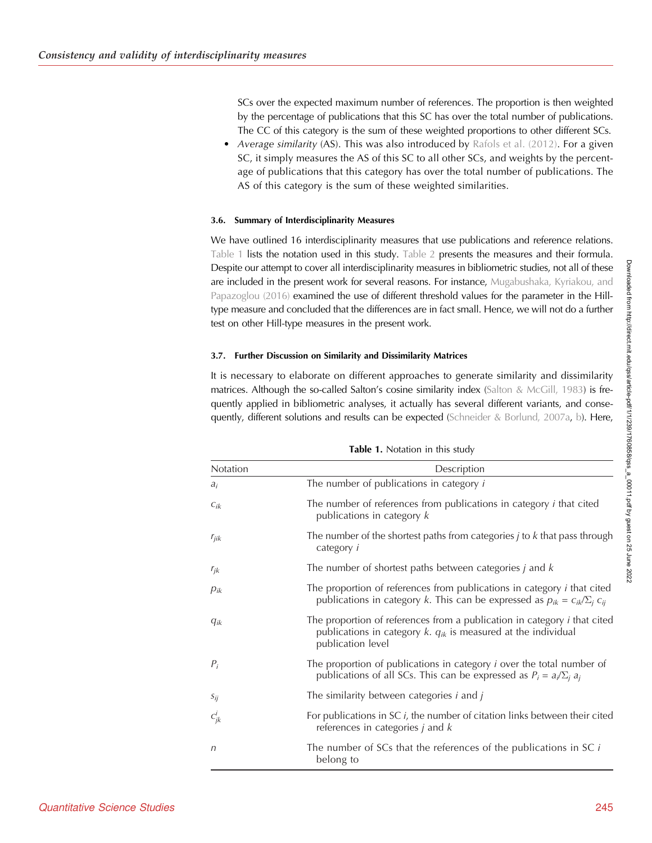SCs over the expected maximum number of references. The proportion is then weighted by the percentage of publications that this SC has over the total number of publications. The CC of this category is the sum of these weighted proportions to other different SCs.

• Average similarity (AS). This was also introduced by [Rafols et al. \(2012\)](#page-19-0). For a given SC, it simply measures the AS of this SC to all other SCs, and weights by the percentage of publications that this category has over the total number of publications. The AS of this category is the sum of these weighted similarities.

## 3.6. Summary of Interdisciplinarity Measures

We have outlined 16 interdisciplinarity measures that use publications and reference relations. Table 1 lists the notation used in this study. [Table 2](#page-7-0) presents the measures and their formula. Despite our attempt to cover all interdisciplinarity measures in bibliometric studies, not all of these are included in the present work for several reasons. For instance, [Mugabushaka, Kyriakou, and](#page-19-0) [Papazoglou \(2016\)](#page-19-0) examined the use of different threshold values for the parameter in the Hilltype measure and concluded that the differences are in fact small. Hence, we will not do a further test on other Hill-type measures in the present work.

## 3.7. Further Discussion on Similarity and Dissimilarity Matrices

It is necessary to elaborate on different approaches to generate similarity and dissimilarity matrices. Although the so-called Salton's cosine similarity index [\(Salton & McGill, 1983\)](#page-19-0) is frequently applied in bibliometric analyses, it actually has several different variants, and conse-quently, different solutions and results can be expected [\(Schneider & Borlund, 2007a](#page-19-0), [b](#page-19-0)). Here,

| Notation   | Description                                                                                                                                                                   |
|------------|-------------------------------------------------------------------------------------------------------------------------------------------------------------------------------|
| $a_i$      | The number of publications in category <i>i</i>                                                                                                                               |
| $c_{ik}$   | The number of references from publications in category <i>i</i> that cited<br>publications in category $k$                                                                    |
| $r_{jik}$  | The number of the shortest paths from categories $j$ to $k$ that pass through<br>category <i>i</i>                                                                            |
| $r_{jk}$   | The number of shortest paths between categories $j$ and $k$                                                                                                                   |
| $p_{ik}$   | The proportion of references from publications in category <i>i</i> that cited<br>publications in category k. This can be expressed as $p_{ik} = c_{ik}/\Sigma_i c_{ij}$      |
| $q_{ik}$   | The proportion of references from a publication in category <i>i</i> that cited<br>publications in category $k$ . $q_{ik}$ is measured at the individual<br>publication level |
| $P_i$      | The proportion of publications in category <i>i</i> over the total number of<br>publications of all SCs. This can be expressed as $P_i = a_i / \sum_j a_j$                    |
| $S_{ij}$   | The similarity between categories $i$ and $j$                                                                                                                                 |
| $C'_{jk}$  | For publications in SC $i$ , the number of citation links between their cited<br>references in categories $j$ and $k$                                                         |
| $\sqrt{n}$ | The number of SCs that the references of the publications in SC i<br>belong to                                                                                                |

#### Table 1. Notation in this study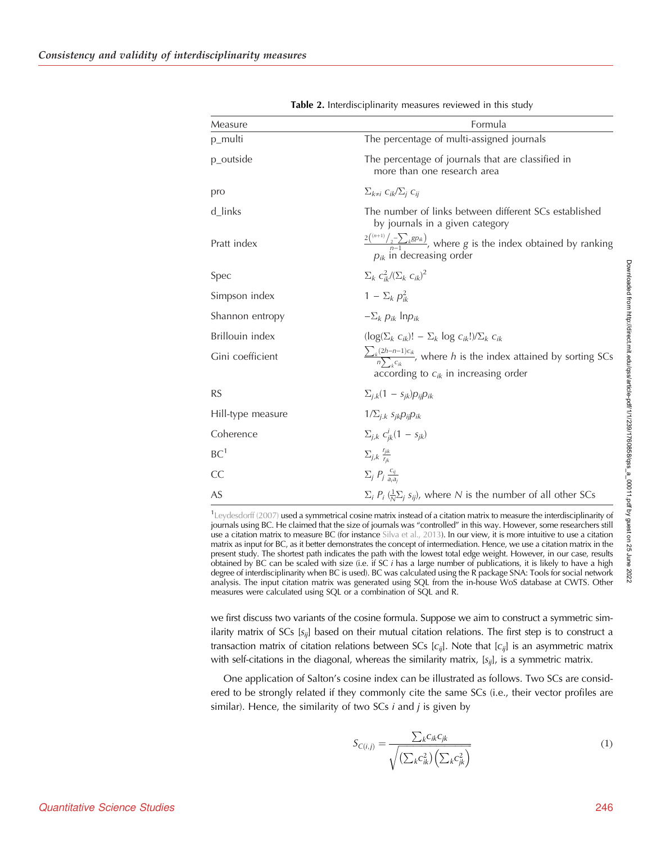<span id="page-7-0"></span>

| Measure           | Formula                                                                                                                                        |
|-------------------|------------------------------------------------------------------------------------------------------------------------------------------------|
| p_multi           | The percentage of multi-assigned journals                                                                                                      |
| p_outside         | The percentage of journals that are classified in<br>more than one research area                                                               |
| pro               | $\Sigma_{k\neq i}$ C <sub>ik</sub> / $\Sigma_i$ C <sub>ii</sub>                                                                                |
| d_links           | The number of links between different SCs established<br>by journals in a given category                                                       |
| Pratt index       | $\frac{2\binom{(n+1)}{2}-\sum_{k} g p_{jk}}{n-1}$ , where g is the index obtained by ranking<br>$p_{ik}$ in decreasing order                   |
| Spec              | $\Sigma_k c^2_{ik}/(\Sigma_k c_{ik})^2$                                                                                                        |
| Simpson index     | $1 - \sum_{k} p_{ik}^{2}$                                                                                                                      |
| Shannon entropy   | $-\Sigma_k p_{ik}$ Inp <sub>ik</sub>                                                                                                           |
| Brillouin index   | $(\log(\Sigma_k C_{ik}))$ – $\Sigma_k \log C_{ik}!)/\Sigma_k C_{ik}$                                                                           |
| Gini coefficient  | $\frac{\sum_{k}(2h-n-1)c_{ik}}{n\sum_{k}(c_{ik})}$ , where h is the index attained by sorting SCs<br>according to $c_{ik}$ in increasing order |
| <b>RS</b>         | $\Sigma_{i,k}$ (1 – $s_{ik}$ ) $p_{ii}p_{ik}$                                                                                                  |
| Hill-type measure | $1/\Sigma_{j.k}$ $S_{jk}p_{ij}p_{ik}$                                                                                                          |
| Coherence         | $\Sigma_{j,k}$ $C_{jk}^i(1 - s_{jk})$                                                                                                          |
| BC <sup>1</sup>   | $\Sigma_{j,k}$ $\frac{r_{jik}}{r_{ik}}$                                                                                                        |
| <b>CC</b>         | $\Sigma_j P_j \frac{c_{ij}}{a_i a_i}$                                                                                                          |
| AS                | $\Sigma_i$ $P_i$ ( $\frac{1}{N}\Sigma_j$ $s_{ij}$ ), where N is the number of all other SCs                                                    |

Table 2. Interdisciplinarity measures reviewed in this study

<sup>1</sup>[Leydesdorff \(2007\)](#page-19-0) used a symmetrical cosine matrix instead of a citation matrix to measure the interdisciplinarity of journals using BC. He claimed that the size of journals was "controlled" in this way. However, some researchers still use a citation matrix to measure BC (for instance [Silva et al., 2013\)](#page-19-0). In our view, it is more intuitive to use a citation matrix as input for BC, as it better demonstrates the concept of intermediation. Hence, we use a citation matrix in the present study. The shortest path indicates the path with the lowest total edge weight. However, in our case, results obtained by BC can be scaled with size (i.e. if SC i has a large number of publications, it is likely to have a high degree of interdisciplinarity when BC is used). BC was calculated using the R package SNA: Tools for social network analysis. The input citation matrix was generated using SQL from the in-house WoS database at CWTS. Other measures were calculated using SQL or a combination of SQL and R.

we first discuss two variants of the cosine formula. Suppose we aim to construct a symmetric similarity matrix of SCs  $[s_{ij}]$  based on their mutual citation relations. The first step is to construct a transaction matrix of citation relations between SCs  $[c_{ii}]$ . Note that  $[c_{ii}]$  is an asymmetric matrix with self-citations in the diagonal, whereas the similarity matrix,  $[s_{ij}]$ , is a symmetric matrix.

One application of Salton's cosine index can be illustrated as follows. Two SCs are considered to be strongly related if they commonly cite the same SCs (i.e., their vector profiles are similar). Hence, the similarity of two SCs  $i$  and  $j$  is given by

$$
S_{C(i,j)} = \frac{\sum_{k} c_{ik} c_{jk}}{\sqrt{\left(\sum_{k} c_{ik}^{2}\right) \left(\sum_{k} c_{jk}^{2}\right)}}
$$
(1)

i June 2022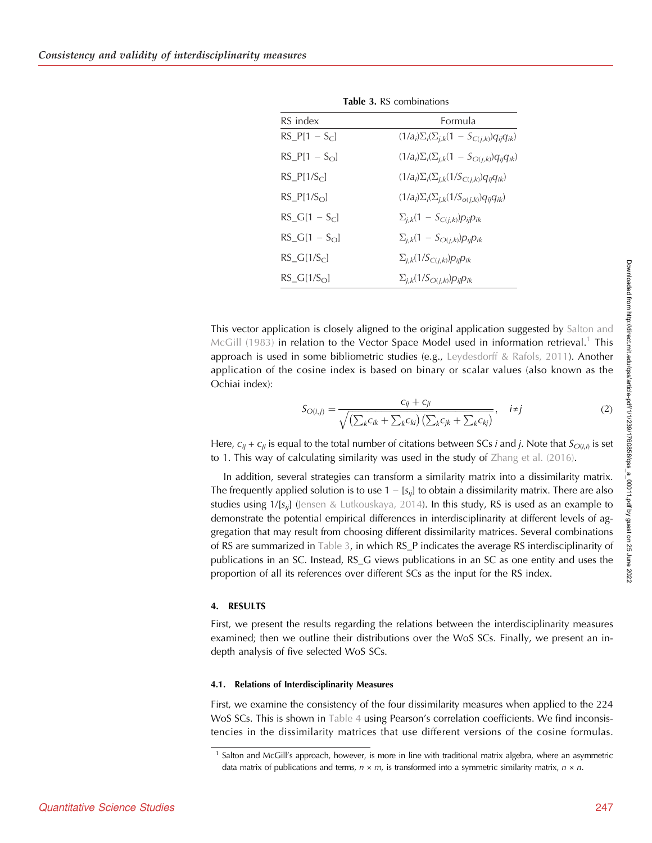|                      | <b>Lavic</b> <i>J. IS Computations</i>                      |
|----------------------|-------------------------------------------------------------|
| RS index             | Formula                                                     |
| $RS_P[1 - S_C]$      | $(1/a_i)\Sigma_i(\Sigma_{j,k}(1 - S_{C(j,k)})q_{ij}q_{ik})$ |
| $RS_P[1 - S_O]$      | $(1/a_i)\Sigma_i(\Sigma_{j,k}(1-S_{O(j,k)})q_{ij}q_{ik})$   |
| $RS_P[1/S_C]$        | $(1/a_i)\Sigma_i(\Sigma_{j,k}(1/S_{C(j,k)})q_{ij}q_{ik})$   |
| RS $P[1/S_{\Omega}]$ | $(1/a_i)\Sigma_i(\Sigma_{j,k}(1/S_{o(j,k)})q_{ij}q_{ik})$   |
| $RS_{G}[1 - S_{C}]$  | $\Sigma_{j,k}$ (1 – $S_{C(j,k)}$ ) $p_{ij}p_{ik}$           |
| $RS_{G}[1 - S_{O}]$  | $\Sigma_{j,k}$ (1 – $S_{O(j,k)}$ ) $p_{ij}p_{ik}$           |
| $RS_G[1/S_C]$        | $\Sigma_{i,k}$ (1/ $S_{C(j,k)}$ ) $p_{ij}p_{ik}$            |
| $RS_G[1/S_O]$        | $\Sigma_{i,k}$ (1/ $S_{O(j,k)}$ ) $p_{ij}p_{ik}$            |

Table 3. RS combinations

This vector application is closely aligned to the original application suggested by [Salton and](#page-19-0) [McGill \(1983\)](#page-19-0) in relation to the Vector Space Model used in information retrieval.<sup>1</sup> This approach is used in some bibliometric studies (e.g., [Leydesdorff & Rafols, 2011](#page-19-0)). Another application of the cosine index is based on binary or scalar values (also known as the Ochiai index):

$$
S_{O(i,j)} = \frac{c_{ij} + c_{ji}}{\sqrt{\left(\sum_{k} c_{ik} + \sum_{k} c_{ki}\right)\left(\sum_{k} c_{jk} + \sum_{k} c_{kj}\right)}}, \quad i \neq j
$$
 (2)

Here,  $c_{ii} + c_{ii}$  is equal to the total number of citations between SCs *i* and *j*. Note that  $S_{O(i,i)}$  is set to 1. This way of calculating similarity was used in the study of [Zhang et al. \(2016\)](#page-20-0).

In addition, several strategies can transform a similarity matrix into a dissimilarity matrix. The frequently applied solution is to use  $1 - [s_{ij}]$  to obtain a dissimilarity matrix. There are also studies using  $1/[s_{ii}]$  [\(Jensen & Lutkouskaya, 2014\)](#page-19-0). In this study, RS is used as an example to demonstrate the potential empirical differences in interdisciplinarity at different levels of aggregation that may result from choosing different dissimilarity matrices. Several combinations of RS are summarized in Table 3, in which RS\_P indicates the average RS interdisciplinarity of publications in an SC. Instead, RS\_G views publications in an SC as one entity and uses the proportion of all its references over different SCs as the input for the RS index.

#### 4. RESULTS

First, we present the results regarding the relations between the interdisciplinarity measures examined; then we outline their distributions over the WoS SCs. Finally, we present an indepth analysis of five selected WoS SCs.

#### 4.1. Relations of Interdisciplinarity Measures

First, we examine the consistency of the four dissimilarity measures when applied to the 224 WoS SCs. This is shown in [Table 4](#page-9-0) using Pearson's correlation coefficients. We find inconsistencies in the dissimilarity matrices that use different versions of the cosine formulas.

<sup>&</sup>lt;sup>1</sup> Salton and McGill's approach, however, is more in line with traditional matrix algebra, where an asymmetric data matrix of publications and terms,  $n \times m$ , is transformed into a symmetric similarity matrix,  $n \times n$ .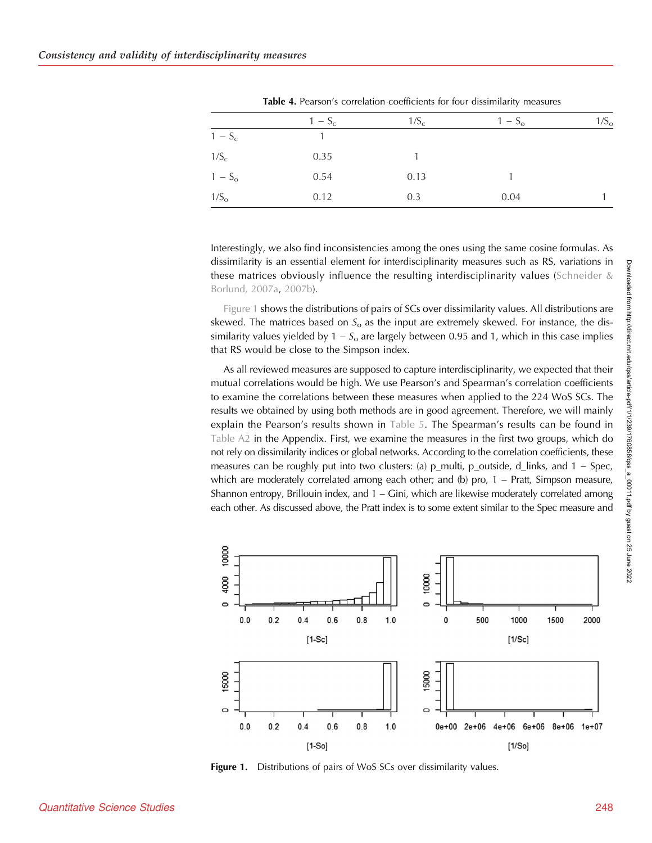<span id="page-9-0"></span>

|               | $1-S_c$ | $1/S_c$ | $1-So$ | $1/S_{\rm o}$ |
|---------------|---------|---------|--------|---------------|
| $1-S_c$       |         |         |        |               |
| $1/S_c$       | 0.35    |         |        |               |
| $1-So$        | 0.54    | 0.13    |        |               |
| $1/S_{\rm o}$ | 0.12    | 0.3     | 0.04   |               |

Table 4. Pearson's correlation coefficients for four dissimilarity measures

Interestingly, we also find inconsistencies among the ones using the same cosine formulas. As dissimilarity is an essential element for interdisciplinarity measures such as RS, variations in these matrices obviously influence the resulting interdisciplinarity values (Schneider  $\&$ [Borlund, 2007a,](#page-19-0) [2007b](#page-19-0)).

Figure 1 shows the distributions of pairs of SCs over dissimilarity values. All distributions are skewed. The matrices based on  $S<sub>o</sub>$  as the input are extremely skewed. For instance, the dissimilarity values yielded by 1 –  $S_0$  are largely between 0.95 and 1, which in this case implies that RS would be close to the Simpson index.

As all reviewed measures are supposed to capture interdisciplinarity, we expected that their mutual correlations would be high. We use Pearson's and Spearman's correlation coefficients to examine the correlations between these measures when applied to the 224 WoS SCs. The results we obtained by using both methods are in good agreement. Therefore, we will mainly explain the Pearson's results shown in [Table 5.](#page-10-0) The Spearman's results can be found in [Table A2](#page-23-0) in the Appendix. First, we examine the measures in the first two groups, which do not rely on dissimilarity indices or global networks. According to the correlation coefficients, these measures can be roughly put into two clusters: (a) p\_multi, p\_outside, d\_links, and 1 – Spec, which are moderately correlated among each other; and (b) pro, 1 – Pratt, Simpson measure, Shannon entropy, Brillouin index, and 1 − Gini, which are likewise moderately correlated among each other. As discussed above, the Pratt index is to some extent similar to the Spec measure and



Figure 1. Distributions of pairs of WoS SCs over dissimilarity values.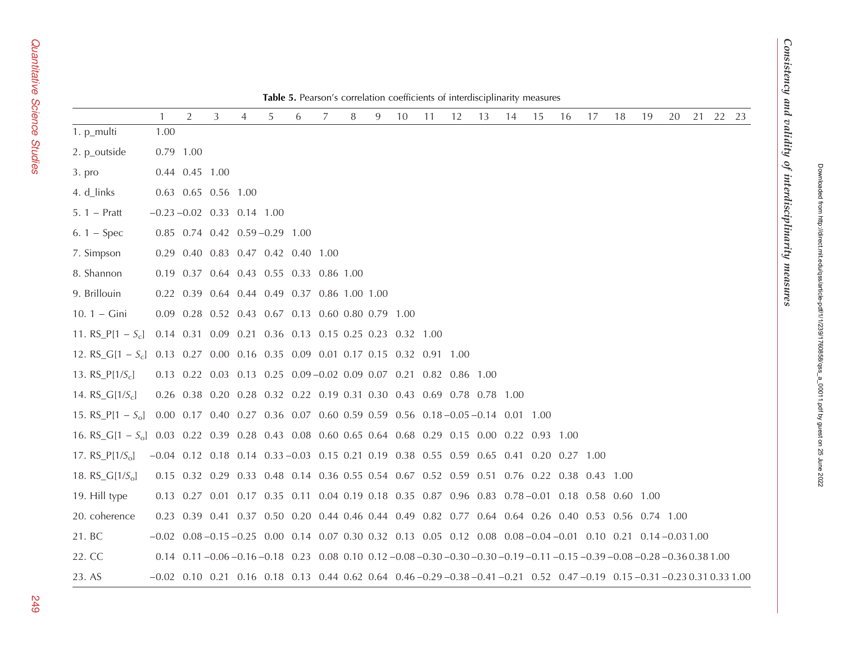Consistency and validity of interdisciplinarity measures

Consistency and validity of interdisciplinarity measures

<span id="page-10-0"></span>

|                                                                                                               | Table 5. Pearson's correlation coefficients of interdisciplinarity measures                                                                         |                     |   |                                                                   |   |   |   |   |   |    |    |    |                                                                       |                                                                                                                                                                         |    |    |    |    |    |    |          |  |
|---------------------------------------------------------------------------------------------------------------|-----------------------------------------------------------------------------------------------------------------------------------------------------|---------------------|---|-------------------------------------------------------------------|---|---|---|---|---|----|----|----|-----------------------------------------------------------------------|-------------------------------------------------------------------------------------------------------------------------------------------------------------------------|----|----|----|----|----|----|----------|--|
|                                                                                                               | $\mathbf{1}$                                                                                                                                        | 2                   | 3 | 4                                                                 | 5 | 6 | 7 | 8 | 9 | 10 | 11 | 12 | 13                                                                    | 14                                                                                                                                                                      | 15 | 16 | 17 | 18 | 19 | 20 | 21 22 23 |  |
| 1. p_multi                                                                                                    | 1.00                                                                                                                                                |                     |   |                                                                   |   |   |   |   |   |    |    |    |                                                                       |                                                                                                                                                                         |    |    |    |    |    |    |          |  |
| 2. p_outside                                                                                                  |                                                                                                                                                     | 0.79 1.00           |   |                                                                   |   |   |   |   |   |    |    |    |                                                                       |                                                                                                                                                                         |    |    |    |    |    |    |          |  |
| 3. pro                                                                                                        |                                                                                                                                                     | 0.44 0.45 1.00      |   |                                                                   |   |   |   |   |   |    |    |    |                                                                       |                                                                                                                                                                         |    |    |    |    |    |    |          |  |
| 4. d_links                                                                                                    |                                                                                                                                                     | 0.63 0.65 0.56 1.00 |   |                                                                   |   |   |   |   |   |    |    |    |                                                                       |                                                                                                                                                                         |    |    |    |    |    |    |          |  |
| $5.1 - Pratt$                                                                                                 | $-0.23 - 0.02$ 0.33 0.14 1.00                                                                                                                       |                     |   |                                                                   |   |   |   |   |   |    |    |    |                                                                       |                                                                                                                                                                         |    |    |    |    |    |    |          |  |
| $6.1 - Spec$                                                                                                  |                                                                                                                                                     |                     |   | $0.85$ 0.74 0.42 0.59 - 0.29 1.00                                 |   |   |   |   |   |    |    |    |                                                                       |                                                                                                                                                                         |    |    |    |    |    |    |          |  |
| 7. Simpson                                                                                                    |                                                                                                                                                     |                     |   | 0.29 0.40 0.83 0.47 0.42 0.40 1.00                                |   |   |   |   |   |    |    |    |                                                                       |                                                                                                                                                                         |    |    |    |    |    |    |          |  |
| 8. Shannon                                                                                                    |                                                                                                                                                     |                     |   | 0.19 0.37 0.64 0.43 0.55 0.33 0.86 1.00                           |   |   |   |   |   |    |    |    |                                                                       |                                                                                                                                                                         |    |    |    |    |    |    |          |  |
| 9. Brillouin                                                                                                  |                                                                                                                                                     |                     |   | 0.22 0.39 0.64 0.44 0.49 0.37 0.86 1.00 1.00                      |   |   |   |   |   |    |    |    |                                                                       |                                                                                                                                                                         |    |    |    |    |    |    |          |  |
| 10. $1 -$ Gini                                                                                                |                                                                                                                                                     |                     |   | 0.09 0.28 0.52 0.43 0.67 0.13 0.60 0.80 0.79 1.00                 |   |   |   |   |   |    |    |    |                                                                       |                                                                                                                                                                         |    |    |    |    |    |    |          |  |
| 11. $RS_P[1 - S_c]$                                                                                           |                                                                                                                                                     |                     |   | 0.14 0.31 0.09 0.21 0.36 0.13 0.15 0.25 0.23 0.32 1.00            |   |   |   |   |   |    |    |    |                                                                       |                                                                                                                                                                         |    |    |    |    |    |    |          |  |
| 12. RS $G[1 - S_c]$ 0.13 0.27 0.00 0.16 0.35 0.09 0.01 0.17 0.15 0.32 0.91 1.00                               |                                                                                                                                                     |                     |   |                                                                   |   |   |   |   |   |    |    |    |                                                                       |                                                                                                                                                                         |    |    |    |    |    |    |          |  |
| 13. $RS_P[1/S_c]$                                                                                             |                                                                                                                                                     |                     |   | 0.13 0.22 0.03 0.13 0.25 0.09 -0.02 0.09 0.07 0.21 0.82 0.86 1.00 |   |   |   |   |   |    |    |    |                                                                       |                                                                                                                                                                         |    |    |    |    |    |    |          |  |
| 14. $RS_{G}[1/S_{c}]$                                                                                         |                                                                                                                                                     |                     |   |                                                                   |   |   |   |   |   |    |    |    | 0.26 0.38 0.20 0.28 0.32 0.22 0.19 0.31 0.30 0.43 0.69 0.78 0.78 1.00 |                                                                                                                                                                         |    |    |    |    |    |    |          |  |
| 15. RS $P[1 - S_0]$                                                                                           |                                                                                                                                                     |                     |   |                                                                   |   |   |   |   |   |    |    |    |                                                                       | 0.00 0.17 0.40 0.27 0.36 0.07 0.60 0.59 0.59 0.56 0.18 -0.05 -0.14 0.01 1.00                                                                                            |    |    |    |    |    |    |          |  |
| 16. RS_G[1 - S <sub>0</sub> ] 0.03 0.22 0.39 0.28 0.43 0.08 0.60 0.65 0.64 0.68 0.29 0.15 0.00 0.22 0.93 1.00 |                                                                                                                                                     |                     |   |                                                                   |   |   |   |   |   |    |    |    |                                                                       |                                                                                                                                                                         |    |    |    |    |    |    |          |  |
| 17. $RS_P[1/S_0]$                                                                                             | $-0.04$ 0.12 0.18 0.14 0.33 $-0.03$ 0.15 0.21 0.19 0.38 0.55 0.59 0.65 0.41 0.20 0.27 1.00                                                          |                     |   |                                                                   |   |   |   |   |   |    |    |    |                                                                       |                                                                                                                                                                         |    |    |    |    |    |    |          |  |
| 18. $RS_{\_G}[1/S_{\alpha}]$                                                                                  |                                                                                                                                                     |                     |   |                                                                   |   |   |   |   |   |    |    |    |                                                                       | 0.15 0.32 0.29 0.33 0.48 0.14 0.36 0.55 0.54 0.67 0.52 0.59 0.51 0.76 0.22 0.38 0.43 1.00                                                                               |    |    |    |    |    |    |          |  |
| 19. Hill type                                                                                                 |                                                                                                                                                     |                     |   |                                                                   |   |   |   |   |   |    |    |    |                                                                       | 0.13 0.27 0.01 0.17 0.35 0.11 0.04 0.19 0.18 0.35 0.87 0.96 0.83 0.78 -0.01 0.18 0.58 0.60 1.00                                                                         |    |    |    |    |    |    |          |  |
| 20. coherence                                                                                                 |                                                                                                                                                     |                     |   |                                                                   |   |   |   |   |   |    |    |    |                                                                       | 0.23 0.39 0.41 0.37 0.50 0.20 0.44 0.46 0.44 0.49 0.82 0.77 0.64 0.64 0.26 0.40 0.53 0.56 0.74 1.00                                                                     |    |    |    |    |    |    |          |  |
| 21. BC                                                                                                        | $-0.02$ $0.08 - 0.15 - 0.25$ $0.00$ $0.14$ $0.07$ $0.30$ $0.32$ $0.13$ $0.05$ $0.12$ $0.08$ $0.08 - 0.04 - 0.01$ $0.10$ $0.21$ $0.14 - 0.03$ $1.00$ |                     |   |                                                                   |   |   |   |   |   |    |    |    |                                                                       |                                                                                                                                                                         |    |    |    |    |    |    |          |  |
| 22. CC                                                                                                        |                                                                                                                                                     |                     |   |                                                                   |   |   |   |   |   |    |    |    |                                                                       | $0.14$ $0.11$ $-0.06$ $-0.16$ $-0.18$ $0.23$ $0.08$ $0.10$ $0.12$ $-0.08$ $-0.30$ $-0.30$ $-0.30$ $-0.19$ $-0.11$ $-0.15$ $-0.39$ $-0.08$ $-0.28$ $-0.36$ $0.38$ $1.00$ |    |    |    |    |    |    |          |  |
| 23. AS                                                                                                        | $-0.02$ 0.10 0.21 0.16 0.18 0.13 0.44 0.62 0.64 0.46 $-0.29$ $-0.38$ $-0.41$ $-0.21$ 0.52 0.47 $-0.19$ 0.15 $-0.31$ $-0.23$ 0.31 0.33 1.00          |                     |   |                                                                   |   |   |   |   |   |    |    |    |                                                                       |                                                                                                                                                                         |    |    |    |    |    |    |          |  |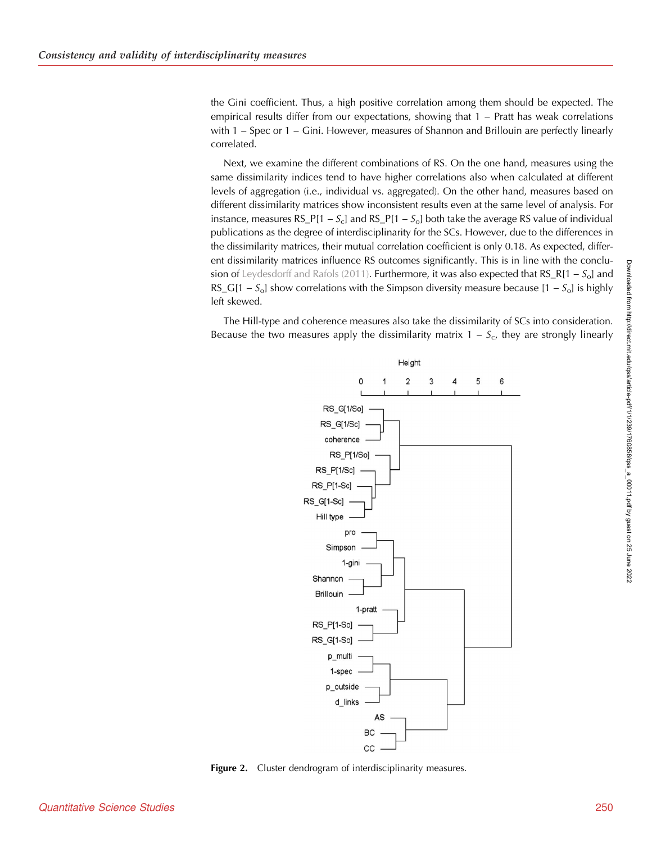<span id="page-11-0"></span>the Gini coefficient. Thus, a high positive correlation among them should be expected. The empirical results differ from our expectations, showing that 1 – Pratt has weak correlations with 1 – Spec or 1 – Gini. However, measures of Shannon and Brillouin are perfectly linearly correlated.

Next, we examine the different combinations of RS. On the one hand, measures using the same dissimilarity indices tend to have higher correlations also when calculated at different levels of aggregation (i.e., individual vs. aggregated). On the other hand, measures based on different dissimilarity matrices show inconsistent results even at the same level of analysis. For instance, measures RS\_P[1 –  $S_c$ ] and RS\_P[1 –  $S_o$ ] both take the average RS value of individual publications as the degree of interdisciplinarity for the SCs. However, due to the differences in the dissimilarity matrices, their mutual correlation coefficient is only 0.18. As expected, different dissimilarity matrices influence RS outcomes significantly. This is in line with the conclu-sion of [Leydesdorff and Rafols \(2011\).](#page-19-0) Furthermore, it was also expected that  $RS_R[1 - S_o]$  and RS\_G[1 –  $S_0$ ] show correlations with the Simpson diversity measure because [1 –  $S_0$ ] is highly left skewed.

The Hill-type and coherence measures also take the dissimilarity of SCs into consideration. Because the two measures apply the dissimilarity matrix  $1 - S_c$ , they are strongly linearly



Figure 2. Cluster dendrogram of interdisciplinarity measures.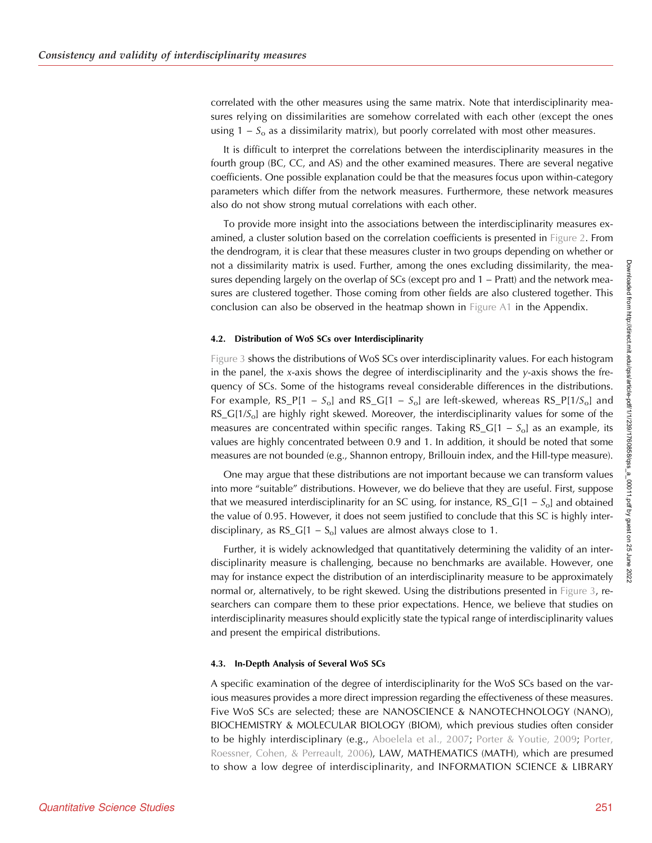correlated with the other measures using the same matrix. Note that interdisciplinarity measures relying on dissimilarities are somehow correlated with each other (except the ones using 1 –  $S<sub>o</sub>$  as a dissimilarity matrix), but poorly correlated with most other measures.

It is difficult to interpret the correlations between the interdisciplinarity measures in the fourth group (BC, CC, and AS) and the other examined measures. There are several negative coefficients. One possible explanation could be that the measures focus upon within-category parameters which differ from the network measures. Furthermore, these network measures also do not show strong mutual correlations with each other.

To provide more insight into the associations between the interdisciplinarity measures examined, a cluster solution based on the correlation coefficients is presented in [Figure 2.](#page-11-0) From the dendrogram, it is clear that these measures cluster in two groups depending on whether or not a dissimilarity matrix is used. Further, among the ones excluding dissimilarity, the measures depending largely on the overlap of SCs (except pro and 1 – Pratt) and the network measures are clustered together. Those coming from other fields are also clustered together. This conclusion can also be observed in the heatmap shown in [Figure A1](#page-24-0) in the Appendix.

## 4.2. Distribution of WoS SCs over Interdisciplinarity

[Figure 3](#page-13-0) shows the distributions of WoS SCs over interdisciplinarity values. For each histogram in the panel, the x-axis shows the degree of interdisciplinarity and the y-axis shows the frequency of SCs. Some of the histograms reveal considerable differences in the distributions. For example,  $RS_{\text{p}}P[1 - S_{\text{o}}]$  and  $RS_{\text{p}}G[1 - S_{\text{o}}]$  are left-skewed, whereas  $RS_{\text{p}}P[1/S_{\text{o}}]$  and  $RS_{G}[1/S_{o}]$  are highly right skewed. Moreover, the interdisciplinarity values for some of the measures are concentrated within specific ranges. Taking  $RS_G[1 - S_o]$  as an example, its values are highly concentrated between 0.9 and 1. In addition, it should be noted that some measures are not bounded (e.g., Shannon entropy, Brillouin index, and the Hill-type measure).

One may argue that these distributions are not important because we can transform values into more "suitable" distributions. However, we do believe that they are useful. First, suppose that we measured interdisciplinarity for an SC using, for instance,  $RS_G[1 - S_o]$  and obtained the value of 0.95. However, it does not seem justified to conclude that this SC is highly interdisciplinary, as RS\_G[1 –  $S_0$ ] values are almost always close to 1.

Further, it is widely acknowledged that quantitatively determining the validity of an interdisciplinarity measure is challenging, because no benchmarks are available. However, one may for instance expect the distribution of an interdisciplinarity measure to be approximately normal or, alternatively, to be right skewed. Using the distributions presented in [Figure 3,](#page-13-0) researchers can compare them to these prior expectations. Hence, we believe that studies on interdisciplinarity measures should explicitly state the typical range of interdisciplinarity values and present the empirical distributions.

## 4.3. In-Depth Analysis of Several WoS SCs

A specific examination of the degree of interdisciplinarity for the WoS SCs based on the various measures provides a more direct impression regarding the effectiveness of these measures. Five WoS SCs are selected; these are NANOSCIENCE & NANOTECHNOLOGY (NANO), BIOCHEMISTRY & MOLECULAR BIOLOGY (BIOM), which previous studies often consider to be highly interdisciplinary (e.g., [Aboelela et al., 2007](#page-18-0); [Porter & Youtie, 2009;](#page-19-0) [Porter,](#page-19-0) [Roessner, Cohen, & Perreault, 2006](#page-19-0)), LAW, MATHEMATICS (MATH), which are presumed to show a low degree of interdisciplinarity, and INFORMATION SCIENCE & LIBRARY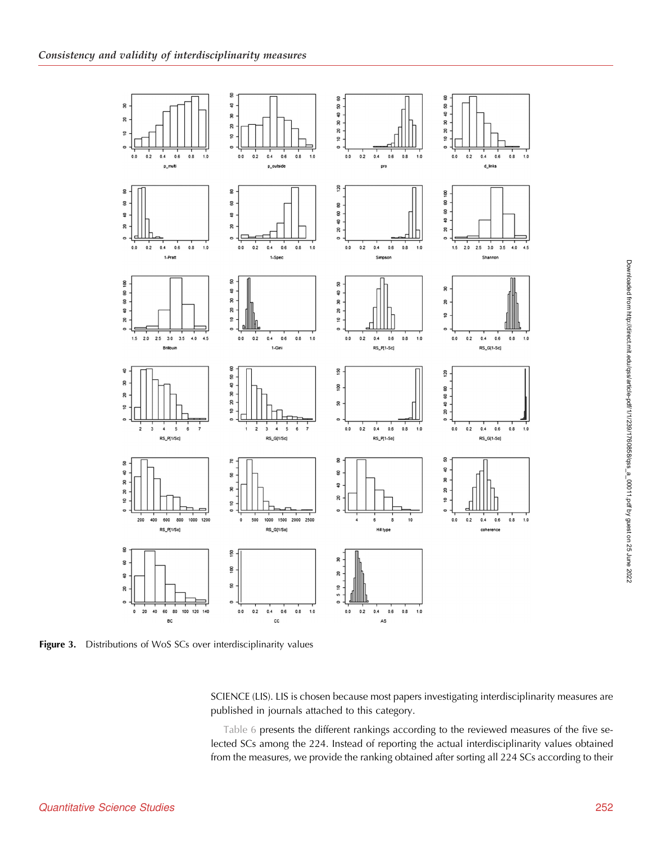<span id="page-13-0"></span>

Figure 3. Distributions of WoS SCs over interdisciplinarity values

SCIENCE (LIS). LIS is chosen because most papers investigating interdisciplinarity measures are published in journals attached to this category.

[Table 6](#page-14-0) presents the different rankings according to the reviewed measures of the five selected SCs among the 224. Instead of reporting the actual interdisciplinarity values obtained from the measures, we provide the ranking obtained after sorting all 224 SCs according to their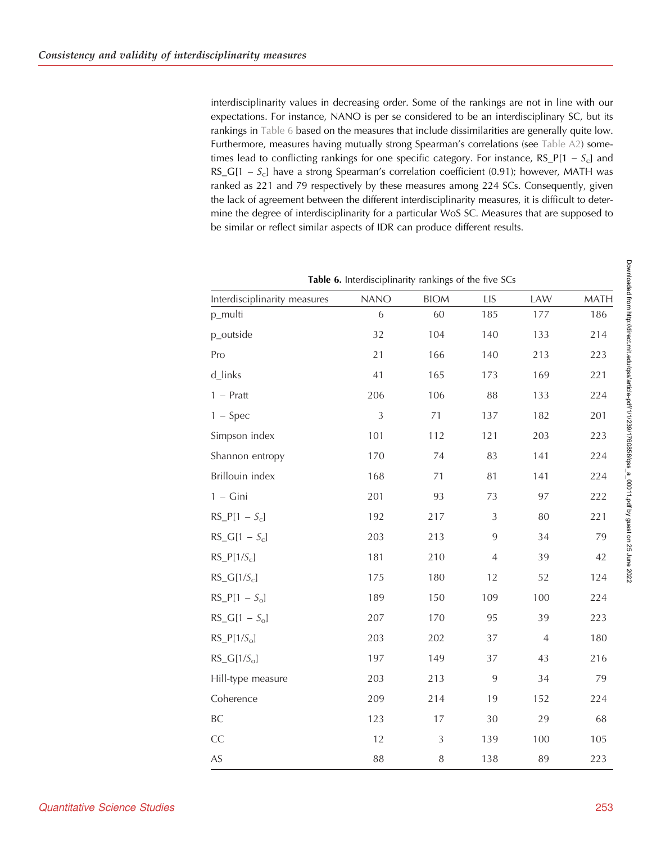<span id="page-14-0"></span>interdisciplinarity values in decreasing order. Some of the rankings are not in line with our expectations. For instance, NANO is per se considered to be an interdisciplinary SC, but its rankings in Table 6 based on the measures that include dissimilarities are generally quite low. Furthermore, measures having mutually strong Spearman's correlations (see [Table A2\)](#page-23-0) sometimes lead to conflicting rankings for one specific category. For instance,  $RS_P[1 - S_c]$  and RS\_G[1 –  $S_c$ ] have a strong Spearman's correlation coefficient (0.91); however, MATH was ranked as 221 and 79 respectively by these measures among 224 SCs. Consequently, given the lack of agreement between the different interdisciplinarity measures, it is difficult to determine the degree of interdisciplinarity for a particular WoS SC. Measures that are supposed to be similar or reflect similar aspects of IDR can produce different results.

|                              | Table 6. Interdisciplinarity rankings of the five SCs |             |                |                |             |  |  |  |  |
|------------------------------|-------------------------------------------------------|-------------|----------------|----------------|-------------|--|--|--|--|
| Interdisciplinarity measures | <b>NANO</b>                                           | <b>BIOM</b> | <b>LIS</b>     | LAW            | <b>MATH</b> |  |  |  |  |
| p_multi                      | $\,$ 6 $\,$                                           | 60          | 185            | 177            | 186         |  |  |  |  |
| p_outside                    | 32                                                    | 104         | 140            | 133            | 214         |  |  |  |  |
| Pro                          | 21                                                    | 166         | 140            | 213            | 223         |  |  |  |  |
| d_links                      | 41                                                    | 165         | 173            | 169            | 221         |  |  |  |  |
| $1 - Pratt$                  | 206                                                   | 106         | 88             | 133            | 224         |  |  |  |  |
| $1 - Spec$                   | 3                                                     | $71\,$      | 137            | 182            | 201         |  |  |  |  |
| Simpson index                | 101                                                   | 112         | 121            | 203            | 223         |  |  |  |  |
| Shannon entropy              | 170                                                   | 74          | 83             | 141            | 224         |  |  |  |  |
| Brillouin index              | 168                                                   | 71          | 81             | 141            | 224         |  |  |  |  |
| $1 -$ Gini                   | 201                                                   | 93          | 73             | 97             | 222         |  |  |  |  |
| $RS_P[1 - S_c]$              | 192                                                   | 217         | 3              | 80             | 221         |  |  |  |  |
| $RS_G[1 - S_c]$              | 203                                                   | 213         | 9              | 34             | 79          |  |  |  |  |
| $RS_P[1/S_c]$                | 181                                                   | 210         | $\overline{4}$ | 39             | 42          |  |  |  |  |
| $RS_G[1/S_c]$                | 175                                                   | 180         | 12             | 52             | 124         |  |  |  |  |
| $RS_P[1 - S_o]$              | 189                                                   | 150         | 109            | 100            | 224         |  |  |  |  |
| $RS_{G}[1 - S_{o}]$          | 207                                                   | 170         | 95             | 39             | 223         |  |  |  |  |
| $RS_P[1/S_o]$                | 203                                                   | 202         | 37             | $\overline{4}$ | 180         |  |  |  |  |
| $RS_G[1/S_o]$                | 197                                                   | 149         | 37             | 43             | 216         |  |  |  |  |
| Hill-type measure            | 203                                                   | 213         | 9              | 34             | 79          |  |  |  |  |
| Coherence                    | 209                                                   | 214         | 19             | 152            | 224         |  |  |  |  |
| BC                           | 123                                                   | 17          | 30             | 29             | 68          |  |  |  |  |
| CC                           | 12                                                    | 3           | 139            | 100            | 105         |  |  |  |  |
| AS                           | 88                                                    | $\, 8$      | 138            | 89             | 223         |  |  |  |  |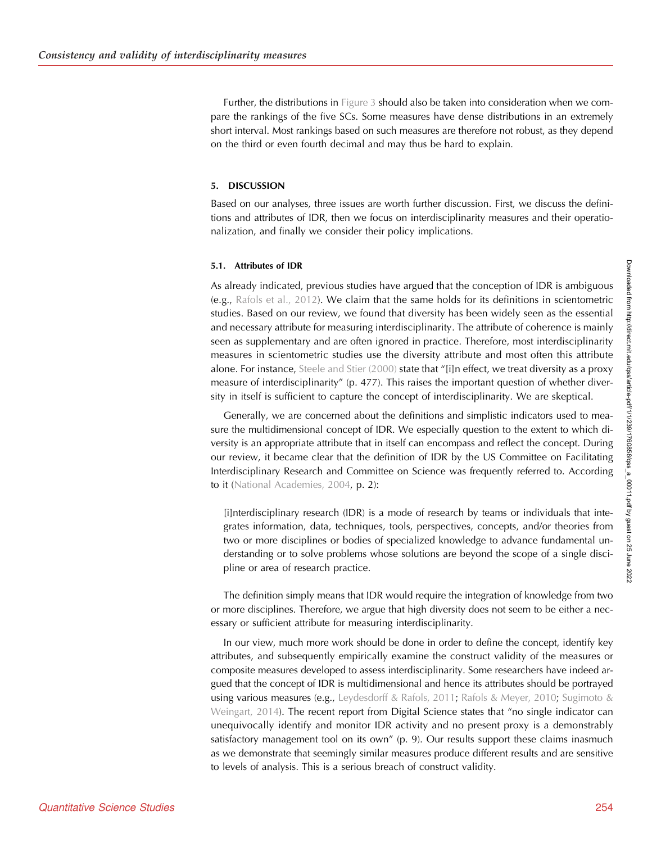Further, the distributions in [Figure 3](#page-13-0) should also be taken into consideration when we compare the rankings of the five SCs. Some measures have dense distributions in an extremely short interval. Most rankings based on such measures are therefore not robust, as they depend on the third or even fourth decimal and may thus be hard to explain.

## 5. DISCUSSION

Based on our analyses, three issues are worth further discussion. First, we discuss the definitions and attributes of IDR, then we focus on interdisciplinarity measures and their operationalization, and finally we consider their policy implications.

## 5.1. Attributes of IDR

As already indicated, previous studies have argued that the conception of IDR is ambiguous (e.g., [Rafols et al., 2012](#page-19-0)). We claim that the same holds for its definitions in scientometric studies. Based on our review, we found that diversity has been widely seen as the essential and necessary attribute for measuring interdisciplinarity. The attribute of coherence is mainly seen as supplementary and are often ignored in practice. Therefore, most interdisciplinarity measures in scientometric studies use the diversity attribute and most often this attribute alone. For instance, [Steele and Stier \(2000\)](#page-19-0) state that "[i]n effect, we treat diversity as a proxy measure of interdisciplinarity" (p. 477). This raises the important question of whether diversity in itself is sufficient to capture the concept of interdisciplinarity. We are skeptical.

Generally, we are concerned about the definitions and simplistic indicators used to measure the multidimensional concept of IDR. We especially question to the extent to which diversity is an appropriate attribute that in itself can encompass and reflect the concept. During our review, it became clear that the definition of IDR by the US Committee on Facilitating Interdisciplinary Research and Committee on Science was frequently referred to. According to it ([National Academies, 2004,](#page-19-0) p. 2):

[i]nterdisciplinary research (IDR) is a mode of research by teams or individuals that integrates information, data, techniques, tools, perspectives, concepts, and/or theories from two or more disciplines or bodies of specialized knowledge to advance fundamental understanding or to solve problems whose solutions are beyond the scope of a single discipline or area of research practice.

The definition simply means that IDR would require the integration of knowledge from two or more disciplines. Therefore, we argue that high diversity does not seem to be either a necessary or sufficient attribute for measuring interdisciplinarity.

In our view, much more work should be done in order to define the concept, identify key attributes, and subsequently empirically examine the construct validity of the measures or composite measures developed to assess interdisciplinarity. Some researchers have indeed argued that the concept of IDR is multidimensional and hence its attributes should be portrayed using various measures (e.g., [Leydesdorff & Rafols, 2011;](#page-19-0) [Rafols & Meyer, 2010;](#page-19-0) [Sugimoto &](#page-19-0) [Weingart, 2014](#page-19-0)). The recent report from Digital Science states that "no single indicator can unequivocally identify and monitor IDR activity and no present proxy is a demonstrably satisfactory management tool on its own" (p. 9). Our results support these claims inasmuch as we demonstrate that seemingly similar measures produce different results and are sensitive to levels of analysis. This is a serious breach of construct validity.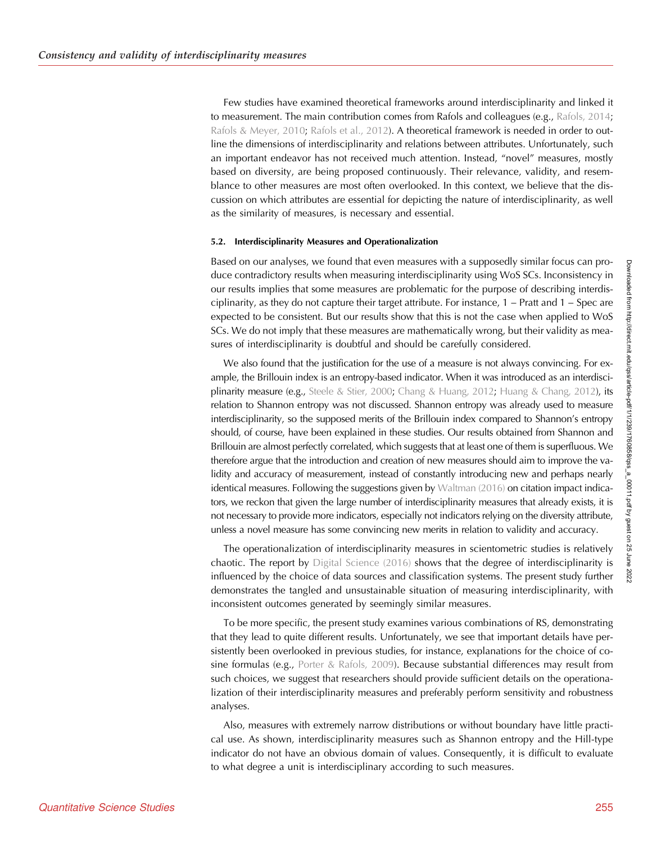Few studies have examined theoretical frameworks around interdisciplinarity and linked it to measurement. The main contribution comes from Rafols and colleagues (e.g., [Rafols, 2014](#page-19-0); [Rafols & Meyer, 2010;](#page-19-0) [Rafols et al., 2012](#page-19-0)). A theoretical framework is needed in order to outline the dimensions of interdisciplinarity and relations between attributes. Unfortunately, such an important endeavor has not received much attention. Instead, "novel" measures, mostly based on diversity, are being proposed continuously. Their relevance, validity, and resemblance to other measures are most often overlooked. In this context, we believe that the discussion on which attributes are essential for depicting the nature of interdisciplinarity, as well as the similarity of measures, is necessary and essential.

#### 5.2. Interdisciplinarity Measures and Operationalization

Based on our analyses, we found that even measures with a supposedly similar focus can produce contradictory results when measuring interdisciplinarity using WoS SCs. Inconsistency in our results implies that some measures are problematic for the purpose of describing interdisciplinarity, as they do not capture their target attribute. For instance, 1 − Pratt and 1 − Spec are expected to be consistent. But our results show that this is not the case when applied to WoS SCs. We do not imply that these measures are mathematically wrong, but their validity as measures of interdisciplinarity is doubtful and should be carefully considered.

We also found that the justification for the use of a measure is not always convincing. For example, the Brillouin index is an entropy-based indicator. When it was introduced as an interdisci-plinarity measure (e.g., [Steele & Stier, 2000](#page-19-0); [Chang & Huang, 2012](#page-18-0); [Huang & Chang, 2012\)](#page-19-0), its relation to Shannon entropy was not discussed. Shannon entropy was already used to measure interdisciplinarity, so the supposed merits of the Brillouin index compared to Shannon's entropy should, of course, have been explained in these studies. Our results obtained from Shannon and Brillouin are almost perfectly correlated, which suggests that at least one of them is superfluous. We therefore argue that the introduction and creation of new measures should aim to improve the validity and accuracy of measurement, instead of constantly introducing new and perhaps nearly identical measures. Following the suggestions given by [Waltman \(2016\)](#page-20-0) on citation impact indicators, we reckon that given the large number of interdisciplinarity measures that already exists, it is not necessary to provide more indicators, especially not indicators relying on the diversity attribute, unless a novel measure has some convincing new merits in relation to validity and accuracy.

The operationalization of interdisciplinarity measures in scientometric studies is relatively chaotic. The report by [Digital Science \(2016\)](#page-18-0) shows that the degree of interdisciplinarity is influenced by the choice of data sources and classification systems. The present study further demonstrates the tangled and unsustainable situation of measuring interdisciplinarity, with inconsistent outcomes generated by seemingly similar measures.

To be more specific, the present study examines various combinations of RS, demonstrating that they lead to quite different results. Unfortunately, we see that important details have persistently been overlooked in previous studies, for instance, explanations for the choice of cosine formulas (e.g., [Porter & Rafols, 2009](#page-19-0)). Because substantial differences may result from such choices, we suggest that researchers should provide sufficient details on the operationalization of their interdisciplinarity measures and preferably perform sensitivity and robustness analyses.

Also, measures with extremely narrow distributions or without boundary have little practical use. As shown, interdisciplinarity measures such as Shannon entropy and the Hill-type indicator do not have an obvious domain of values. Consequently, it is difficult to evaluate to what degree a unit is interdisciplinary according to such measures.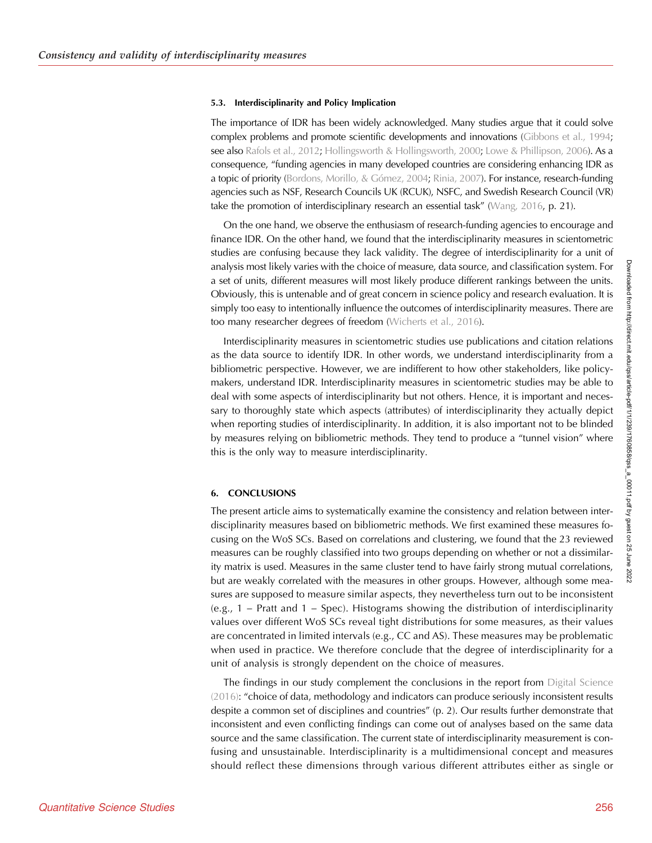#### 5.3. Interdisciplinarity and Policy Implication

The importance of IDR has been widely acknowledged. Many studies argue that it could solve complex problems and promote scientific developments and innovations ([Gibbons et al., 1994](#page-18-0); see also [Rafols et al., 2012](#page-19-0); [Hollingsworth & Hollingsworth, 2000](#page-18-0); [Lowe & Phillipson, 2006](#page-19-0)). As a consequence, "funding agencies in many developed countries are considering enhancing IDR as a topic of priority [\(Bordons, Morillo, & Gómez, 2004](#page-18-0); [Rinia, 2007\)](#page-19-0). For instance, research-funding agencies such as NSF, Research Councils UK (RCUK), NSFC, and Swedish Research Council (VR) take the promotion of interdisciplinary research an essential task" ([Wang, 2016,](#page-20-0) p. 21).

On the one hand, we observe the enthusiasm of research-funding agencies to encourage and finance IDR. On the other hand, we found that the interdisciplinarity measures in scientometric studies are confusing because they lack validity. The degree of interdisciplinarity for a unit of analysis most likely varies with the choice of measure, data source, and classification system. For a set of units, different measures will most likely produce different rankings between the units. Obviously, this is untenable and of great concern in science policy and research evaluation. It is simply too easy to intentionally influence the outcomes of interdisciplinarity measures. There are too many researcher degrees of freedom ([Wicherts et al., 2016\)](#page-20-0).

Interdisciplinarity measures in scientometric studies use publications and citation relations as the data source to identify IDR. In other words, we understand interdisciplinarity from a bibliometric perspective. However, we are indifferent to how other stakeholders, like policymakers, understand IDR. Interdisciplinarity measures in scientometric studies may be able to deal with some aspects of interdisciplinarity but not others. Hence, it is important and necessary to thoroughly state which aspects (attributes) of interdisciplinarity they actually depict when reporting studies of interdisciplinarity. In addition, it is also important not to be blinded by measures relying on bibliometric methods. They tend to produce a "tunnel vision" where this is the only way to measure interdisciplinarity.

## 6. CONCLUSIONS

The present article aims to systematically examine the consistency and relation between interdisciplinarity measures based on bibliometric methods. We first examined these measures focusing on the WoS SCs. Based on correlations and clustering, we found that the 23 reviewed measures can be roughly classified into two groups depending on whether or not a dissimilarity matrix is used. Measures in the same cluster tend to have fairly strong mutual correlations, but are weakly correlated with the measures in other groups. However, although some measures are supposed to measure similar aspects, they nevertheless turn out to be inconsistent (e.g., 1 − Pratt and 1 − Spec). Histograms showing the distribution of interdisciplinarity values over different WoS SCs reveal tight distributions for some measures, as their values are concentrated in limited intervals (e.g., CC and AS). These measures may be problematic when used in practice. We therefore conclude that the degree of interdisciplinarity for a unit of analysis is strongly dependent on the choice of measures.

The findings in our study complement the conclusions in the report from [Digital Science](#page-18-0) [\(2016\)](#page-18-0): "choice of data, methodology and indicators can produce seriously inconsistent results despite a common set of disciplines and countries" (p. 2). Our results further demonstrate that inconsistent and even conflicting findings can come out of analyses based on the same data source and the same classification. The current state of interdisciplinarity measurement is confusing and unsustainable. Interdisciplinarity is a multidimensional concept and measures should reflect these dimensions through various different attributes either as single or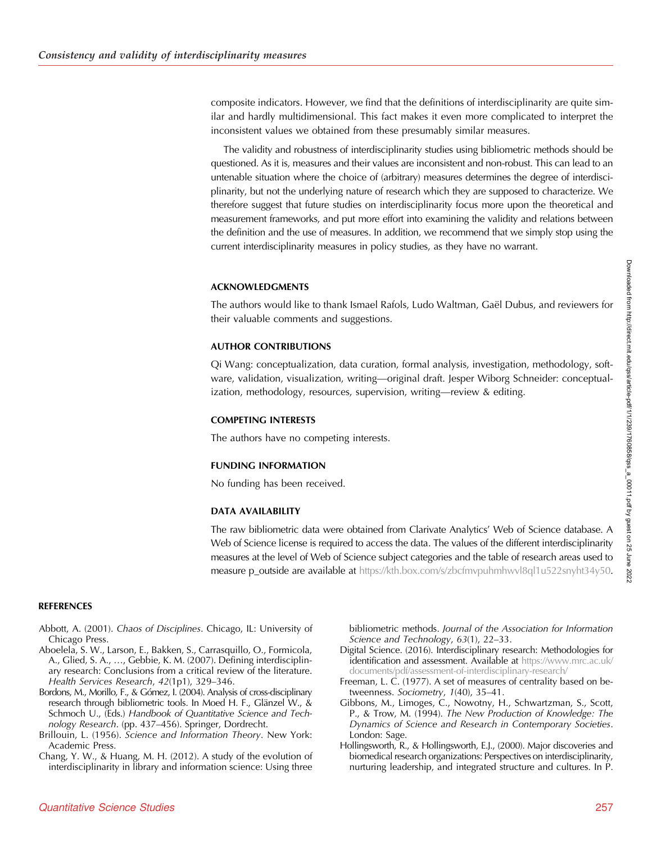<span id="page-18-0"></span>composite indicators. However, we find that the definitions of interdisciplinarity are quite similar and hardly multidimensional. This fact makes it even more complicated to interpret the inconsistent values we obtained from these presumably similar measures.

The validity and robustness of interdisciplinarity studies using bibliometric methods should be questioned. As it is, measures and their values are inconsistent and non-robust. This can lead to an untenable situation where the choice of (arbitrary) measures determines the degree of interdisciplinarity, but not the underlying nature of research which they are supposed to characterize. We therefore suggest that future studies on interdisciplinarity focus more upon the theoretical and measurement frameworks, and put more effort into examining the validity and relations between the definition and the use of measures. In addition, we recommend that we simply stop using the current interdisciplinarity measures in policy studies, as they have no warrant.

## ACKNOWLEDGMENTS

The authors would like to thank Ismael Rafols, Ludo Waltman, Gaël Dubus, and reviewers for their valuable comments and suggestions.

## AUTHOR CONTRIBUTIONS

Qi Wang: conceptualization, data curation, formal analysis, investigation, methodology, software, validation, visualization, writing—original draft. Jesper Wiborg Schneider: conceptualization, methodology, resources, supervision, writing—review & editing.

## COMPETING INTERESTS

The authors have no competing interests.

## FUNDING INFORMATION

No funding has been received.

## DATA AVAILABILITY

The raw bibliometric data were obtained from Clarivate Analytics' Web of Science database. A Web of Science license is required to access the data. The values of the different interdisciplinarity measures at the level of Web of Science subject categories and the table of research areas used to measure p\_outside are available at <https://kth.box.com/s/zbcfmvpuhmhwvl8ql1u522snyht34y50>.

## **REFERENCES**

- Abbott, A. (2001). Chaos of Disciplines. Chicago, IL: University of Chicago Press.
- Aboelela, S. W., Larson, E., Bakken, S., Carrasquillo, O., Formicola, A., Glied, S. A., …, Gebbie, K. M. (2007). Defining interdisciplinary research: Conclusions from a critical review of the literature. Health Services Research, 42(1p1), 329–346.
- Bordons, M., Morillo, F., & Gómez, I. (2004). Analysis of cross-disciplinary research through bibliometric tools. In Moed H. F., Glänzel W., & Schmoch U., (Eds.) Handbook of Quantitative Science and Technology Research. (pp. 437–456). Springer, Dordrecht.
- Brillouin, L. (1956). Science and Information Theory. New York: Academic Press.
- Chang, Y. W., & Huang, M. H. (2012). A study of the evolution of interdisciplinarity in library and information science: Using three

bibliometric methods. Journal of the Association for Information Science and Technology, 63(1), 22–33.

- Digital Science. (2016). Interdisciplinary research: Methodologies for identification and assessment. Available at [https://www.mrc.ac.uk/](https://www.mrc.ac.uk/documents/pdf/assessment-of-interdisciplinary-research/) [documents/pdf/assessment-of-interdisciplinary-research/](https://www.mrc.ac.uk/documents/pdf/assessment-of-interdisciplinary-research/)
- Freeman, L. C. (1977). A set of measures of centrality based on betweenness. Sociometry, 1(40), 35–41.
- Gibbons, M., Limoges, C., Nowotny, H., Schwartzman, S., Scott, P., & Trow, M. (1994). The New Production of Knowledge: The Dynamics of Science and Research in Contemporary Societies. London: Sage.
- Hollingsworth, R., & Hollingsworth, E.J., (2000). Major discoveries and biomedical research organizations: Perspectives on interdisciplinarity, nurturing leadership, and integrated structure and cultures. In P.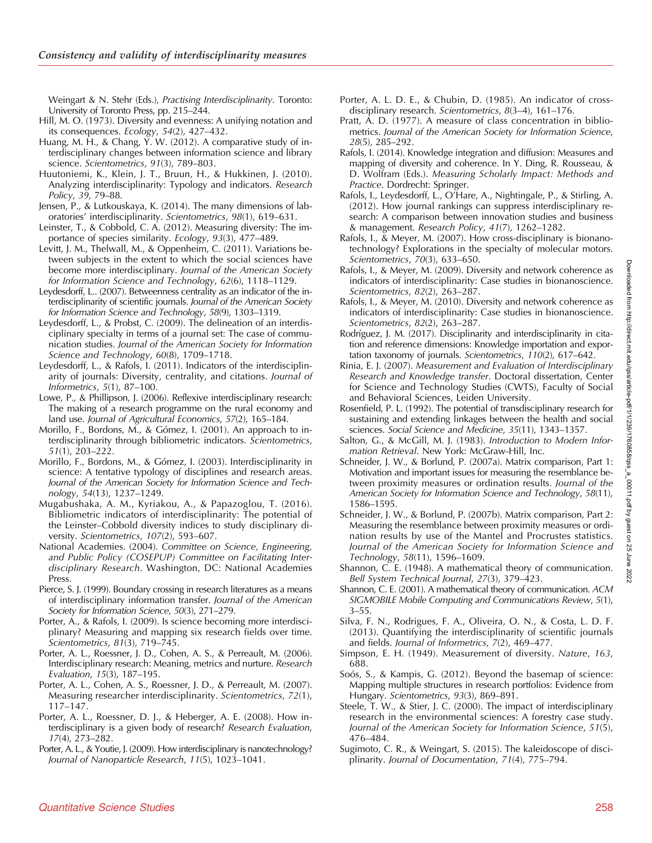<span id="page-19-0"></span>Weingart & N. Stehr (Eds.), Practising Interdisciplinarity. Toronto: University of Toronto Press, pp. 215–244.

- Hill, M. O. (1973). Diversity and evenness: A unifying notation and its consequences. Ecology, 54(2), 427–432.
- Huang, M. H., & Chang, Y. W. (2012). A comparative study of interdisciplinary changes between information science and library science. Scientometrics, 91(3), 789–803.
- Huutoniemi, K., Klein, J. T., Bruun, H., & Hukkinen, J. (2010). Analyzing interdisciplinarity: Typology and indicators. Research Policy, 39, 79–88.
- Jensen, P., & Lutkouskaya, K. (2014). The many dimensions of laboratories' interdisciplinarity. Scientometrics, 98(1), 619–631.
- Leinster, T., & Cobbold, C. A. (2012). Measuring diversity: The importance of species similarity. Ecology, 93(3), 477–489.
- Levitt, J. M., Thelwall, M., & Oppenheim, C. (2011). Variations between subjects in the extent to which the social sciences have become more interdisciplinary. Journal of the American Society for Information Science and Technology, 62(6), 1118–1129.
- Leydesdorff, L.. (2007). Betweenness centrality as an indicator of the interdisciplinarity of scientific journals. Journal of the American Society for Information Science and Technology, 58(9), 1303–1319.
- Leydesdorff, L., & Probst, C. (2009). The delineation of an interdisciplinary specialty in terms of a journal set: The case of communication studies. Journal of the American Society for Information Science and Technology, 60(8), 1709–1718.
- Leydesdorff, L., & Rafols, I. (2011). Indicators of the interdisciplinarity of journals: Diversity, centrality, and citations. Journal of Informetrics, 5(1), 87–100.
- Lowe, P., & Phillipson, J. (2006). Reflexive interdisciplinary research: The making of a research programme on the rural economy and land use. Journal of Agricultural Economics, 57(2), 165–184.
- Morillo, F., Bordons, M., & Gómez, I. (2001). An approach to interdisciplinarity through bibliometric indicators. Scientometrics, 51(1), 203–222.
- Morillo, F., Bordons, M., & Gómez, I. (2003). Interdisciplinarity in science: A tentative typology of disciplines and research areas. Journal of the American Society for Information Science and Technology, 54(13), 1237–1249.
- Mugabushaka, A. M., Kyriakou, A., & Papazoglou, T. (2016). Bibliometric indicators of interdisciplinarity: The potential of the Leinster–Cobbold diversity indices to study disciplinary diversity. Scientometrics, 107(2), 593–607.
- National Academies. (2004). Committee on Science, Engineering, and Public Policy (COSEPUP) Committee on Facilitating Interdisciplinary Research. Washington, DC: National Academies Press.
- Pierce, S. J. (1999). Boundary crossing in research literatures as a means of interdisciplinary information transfer. Journal of the American Society for Information Science, 50(3), 271–279.
- Porter, A., & Rafols, I. (2009). Is science becoming more interdisciplinary? Measuring and mapping six research fields over time. Scientometrics, 81(3), 719–745.
- Porter, A. L., Roessner, J. D., Cohen, A. S., & Perreault, M. (2006). Interdisciplinary research: Meaning, metrics and nurture. Research Evaluation, 15(3), 187–195.
- Porter, A. L., Cohen, A. S., Roessner, J. D., & Perreault, M. (2007). Measuring researcher interdisciplinarity. Scientometrics, 72(1), 117–147.
- Porter, A. L., Roessner, D. J., & Heberger, A. E. (2008). How interdisciplinary is a given body of research? Research Evaluation, 17(4), 273–282.
- Porter, A. L., & Youtie, J. (2009). How interdisciplinary is nanotechnology? Journal of Nanoparticle Research, 11(5), 1023–1041.
- Porter, A. L. D. E., & Chubin, D. (1985). An indicator of crossdisciplinary research. Scientometrics, 8(3–4), 161–176.
- Pratt, A. D. (1977). A measure of class concentration in bibliometrics. Journal of the American Society for Information Science, 28(5), 285–292.
- Rafols, I. (2014). Knowledge integration and diffusion: Measures and mapping of diversity and coherence. In Y. Ding, R. Rousseau, & D. Wolfram (Eds.). Measuring Scholarly Impact: Methods and Practice. Dordrecht: Springer.
- Rafols, I., Leydesdorff, L., O'Hare, A., Nightingale, P., & Stirling, A. (2012). How journal rankings can suppress interdisciplinary research: A comparison between innovation studies and business & management. Research Policy, 41(7), 1262–1282.
- Rafols, I., & Meyer, M. (2007). How cross-disciplinary is bionanotechnology? Explorations in the specialty of molecular motors. Scientometrics, 70(3), 633–650.
- Rafols, I., & Meyer, M. (2009). Diversity and network coherence as indicators of interdisciplinarity: Case studies in bionanoscience. Scientometrics, 82(2), 263–287.
- Rafols, I., & Meyer, M. (2010). Diversity and network coherence as indicators of interdisciplinarity: Case studies in bionanoscience. Scientometrics, 82(2), 263–287.
- Rodríguez, J. M. (2017). Disciplinarity and interdisciplinarity in citation and reference dimensions: Knowledge importation and exportation taxonomy of journals. Scientometrics, 110(2), 617–642.
- Rinia, E. J. (2007). Measurement and Evaluation of Interdisciplinary Research and Knowledge transfer. Doctoral dissertation, Center for Science and Technology Studies (CWTS), Faculty of Social and Behavioral Sciences, Leiden University.
- Rosenfield, P. L. (1992). The potential of transdisciplinary research for sustaining and extending linkages between the health and social sciences. Social Science and Medicine, 35(11), 1343–1357.
- Salton, G., & McGill, M. J. (1983). Introduction to Modern Information Retrieval. New York: McGraw-Hill, Inc.
- Schneider, J. W., & Borlund, P. (2007a). Matrix comparison, Part 1: Motivation and important issues for measuring the resemblance between proximity measures or ordination results. Journal of the American Society for Information Science and Technology, 58(11), 1586–1595.
- Schneider, J. W., & Borlund, P. (2007b). Matrix comparison, Part 2: Measuring the resemblance between proximity measures or ordination results by use of the Mantel and Procrustes statistics. Journal of the American Society for Information Science and Technology, 58(11), 1596–1609.
- Shannon, C. E. (1948). A mathematical theory of communication. Bell System Technical Journal, 27(3), 379–423.
- Shannon, C. E. (2001). A mathematical theory of communication. ACM SIGMOBILE Mobile Computing and Communications Review, 5(1), 3–55.
- Silva, F. N., Rodrigues, F. A., Oliveira, O. N., & Costa, L. D. F. (2013). Quantifying the interdisciplinarity of scientific journals and fields. Journal of Informetrics, 7(2), 469–477.
- Simpson, E. H. (1949). Measurement of diversity. Nature, 163, 688.
- Soós, S., & Kampis, G. (2012). Beyond the basemap of science: Mapping multiple structures in research portfolios: Evidence from Hungary. Scientometrics, 93(3), 869–891.
- Steele, T. W., & Stier, J. C. (2000). The impact of interdisciplinary research in the environmental sciences: A forestry case study. Journal of the American Society for Information Science, 51(5), 476–484.
- Sugimoto, C. R., & Weingart, S. (2015). The kaleidoscope of disciplinarity. Journal of Documentation, 71(4), 775–794.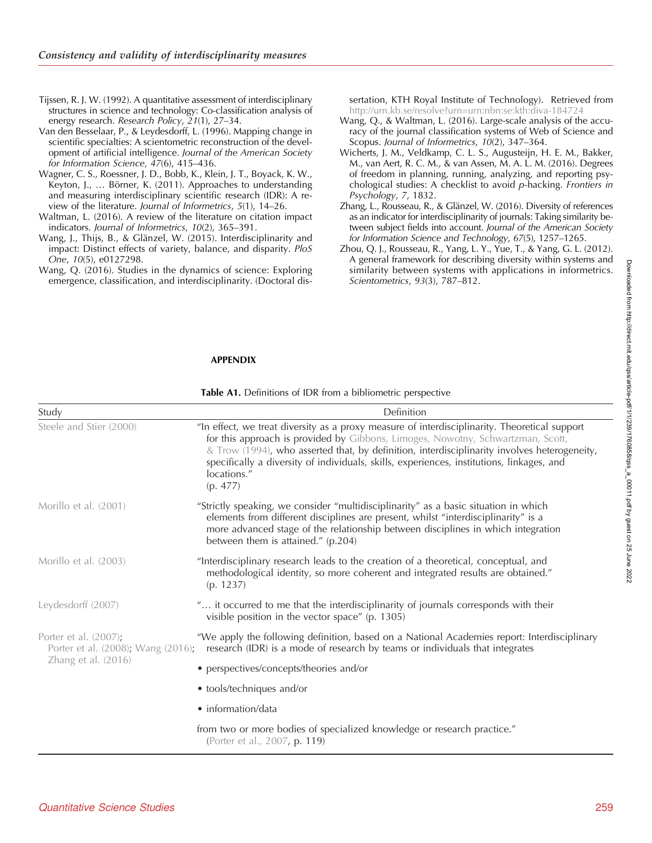- <span id="page-20-0"></span>Tijssen, R. J. W. (1992). A quantitative assessment of interdisciplinary structures in science and technology: Co-classification analysis of energy research. Research Policy, 21(1), 27-34.
- Van den Besselaar, P., & Leydesdorff, L. (1996). Mapping change in scientific specialties: A scientometric reconstruction of the development of artificial intelligence. Journal of the American Society for Information Science,  $\frac{47}{6}$ , 415-436.
- Wagner, C. S., Roessner, J. D., Bobb, K., Klein, J. T., Boyack, K. W., Keyton, J., … Börner, K. (2011). Approaches to understanding and measuring interdisciplinary scientific research (IDR): A review of the literature. Journal of Informetrics, 5(1), 14–26.
- Waltman, L. (2016). A review of the literature on citation impact indicators. Journal of Informetrics, 10(2), 365–391.
- Wang, J., Thijs, B., & Glänzel, W. (2015). Interdisciplinarity and impact: Distinct effects of variety, balance, and disparity. PloS One, 10(5), e0127298.
- Wang, Q. (2016). Studies in the dynamics of science: Exploring emergence, classification, and interdisciplinarity. (Doctoral dis-

sertation, KTH Royal Institute of Technology). Retrieved from <http://urn.kb.se/resolve?urn=urn:nbn:se:kth:diva-184724>

- Wang, Q., & Waltman, L. (2016). Large-scale analysis of the accuracy of the journal classification systems of Web of Science and Scopus. Journal of Informetrics, 10(2), 347–364.
- Wicherts, J. M., Veldkamp, C. L. S., Augusteijn, H. E. M., Bakker, M., van Aert, R. C. M., & van Assen, M. A. L. M. (2016). Degrees of freedom in planning, running, analyzing, and reporting psychological studies: A checklist to avoid p-hacking. Frontiers in Psychology, 7, 1832.
- Zhang, L., Rousseau, R., & Glänzel, W. (2016). Diversity of references as an indicator for interdisciplinarity of journals: Taking similarity between subject fields into account. Journal of the American Society for Information Science and Technology, 67(5), 1257–1265.
- Zhou, Q. J., Rousseau, R., Yang, L. Y., Yue, T., & Yang, G. L. (2012). A general framework for describing diversity within systems and similarity between systems with applications in informetrics. Scientometrics, 93(3), 787–812.

#### APPENDIX

|  |  |  |  |  |  |  |  | <b>Table A1.</b> Definitions of IDR from a bibliometric perspective |  |  |
|--|--|--|--|--|--|--|--|---------------------------------------------------------------------|--|--|
|--|--|--|--|--|--|--|--|---------------------------------------------------------------------|--|--|

| Study                                                       | Definition                                                                                                                                                                                                                                                                                                                                                                                               |
|-------------------------------------------------------------|----------------------------------------------------------------------------------------------------------------------------------------------------------------------------------------------------------------------------------------------------------------------------------------------------------------------------------------------------------------------------------------------------------|
| Steele and Stier (2000)                                     | "In effect, we treat diversity as a proxy measure of interdisciplinarity. Theoretical support<br>for this approach is provided by Gibbons, Limoges, Nowotny, Schwartzman, Scott,<br>& Trow (1994), who asserted that, by definition, interdisciplinarity involves heterogeneity,<br>specifically a diversity of individuals, skills, experiences, institutions, linkages, and<br>locations."<br>(p. 477) |
| Morillo et al. (2001)                                       | "Strictly speaking, we consider "multidisciplinarity" as a basic situation in which<br>elements from different disciplines are present, whilst "interdisciplinarity" is a<br>more advanced stage of the relationship between disciplines in which integration<br>between them is attained." (p.204)                                                                                                      |
| Morillo et al. (2003)                                       | "Interdisciplinary research leads to the creation of a theoretical, conceptual, and<br>methodological identity, so more coherent and integrated results are obtained."<br>(p. 1237)                                                                                                                                                                                                                      |
| Leydesdorff (2007)                                          | " it occurred to me that the interdisciplinarity of journals corresponds with their<br>visible position in the vector space" (p. 1305)                                                                                                                                                                                                                                                                   |
| Porter et al. (2007);<br>Porter et al. (2008); Wang (2016); | "We apply the following definition, based on a National Academies report: Interdisciplinary<br>research (IDR) is a mode of research by teams or individuals that integrates                                                                                                                                                                                                                              |
| Zhang et al. $(2016)$                                       | • perspectives/concepts/theories and/or                                                                                                                                                                                                                                                                                                                                                                  |
|                                                             | • tools/techniques and/or                                                                                                                                                                                                                                                                                                                                                                                |
|                                                             | • information/data                                                                                                                                                                                                                                                                                                                                                                                       |
|                                                             | from two or more bodies of specialized knowledge or research practice."<br>(Porter et al., 2007, p. 119)                                                                                                                                                                                                                                                                                                 |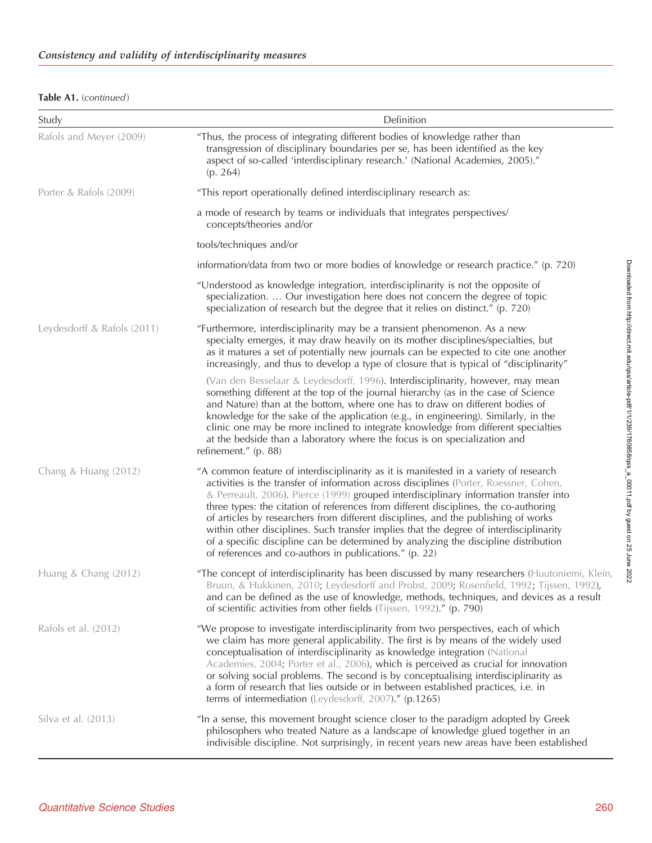|  | Table A1. (continued) |
|--|-----------------------|
|--|-----------------------|

| Study                       | Definition                                                                                                                                                                                                                                                                                                                                                                                                                                                                                                                                                                                                                                                                                        |
|-----------------------------|---------------------------------------------------------------------------------------------------------------------------------------------------------------------------------------------------------------------------------------------------------------------------------------------------------------------------------------------------------------------------------------------------------------------------------------------------------------------------------------------------------------------------------------------------------------------------------------------------------------------------------------------------------------------------------------------------|
| Rafols and Meyer (2009)     | "Thus, the process of integrating different bodies of knowledge rather than<br>transgression of disciplinary boundaries per se, has been identified as the key<br>aspect of so-called 'interdisciplinary research.' (National Academies, 2005)."<br>(p. 264)                                                                                                                                                                                                                                                                                                                                                                                                                                      |
| Porter & Rafols (2009)      | "This report operationally defined interdisciplinary research as:                                                                                                                                                                                                                                                                                                                                                                                                                                                                                                                                                                                                                                 |
|                             | a mode of research by teams or individuals that integrates perspectives/<br>concepts/theories and/or                                                                                                                                                                                                                                                                                                                                                                                                                                                                                                                                                                                              |
|                             | tools/techniques and/or                                                                                                                                                                                                                                                                                                                                                                                                                                                                                                                                                                                                                                                                           |
|                             | information/data from two or more bodies of knowledge or research practice." (p. 720)                                                                                                                                                                                                                                                                                                                                                                                                                                                                                                                                                                                                             |
|                             | "Understood as knowledge integration, interdisciplinarity is not the opposite of<br>specialization.  Our investigation here does not concern the degree of topic<br>specialization of research but the degree that it relies on distinct." (p. 720)                                                                                                                                                                                                                                                                                                                                                                                                                                               |
| Leydesdorff & Rafols (2011) | "Furthermore, interdisciplinarity may be a transient phenomenon. As a new<br>specialty emerges, it may draw heavily on its mother disciplines/specialties, but<br>as it matures a set of potentially new journals can be expected to cite one another<br>increasingly, and thus to develop a type of closure that is typical of "disciplinarity"                                                                                                                                                                                                                                                                                                                                                  |
|                             | (Van den Besselaar & Leydesdorff, 1996). Interdisciplinarity, however, may mean<br>something different at the top of the journal hierarchy (as in the case of Science<br>and Nature) than at the bottom, where one has to draw on different bodies of<br>knowledge for the sake of the application (e.g., in engineering). Similarly, in the<br>clinic one may be more inclined to integrate knowledge from different specialties<br>at the bedside than a laboratory where the focus is on specialization and<br>refinement." (p. 88)                                                                                                                                                            |
| Chang & Huang (2012)        | "A common feature of interdisciplinarity as it is manifested in a variety of research<br>activities is the transfer of information across disciplines (Porter, Roessner, Cohen,<br>& Perreault, 2006). Pierce (1999) grouped interdisciplinary information transfer into<br>three types: the citation of references from different disciplines, the co-authoring<br>of articles by researchers from different disciplines, and the publishing of works<br>within other disciplines. Such transfer implies that the degree of interdisciplinarity<br>of a specific discipline can be determined by analyzing the discipline distribution<br>of references and co-authors in publications." (p. 22) |
| Huang & Chang (2012)        | "The concept of interdisciplinarity has been discussed by many researchers (Huutoniemi, Klein,<br>Bruun, & Hukkinen, 2010; Leydesdorff and Probst, 2009; Rosenfield, 1992; Tijssen, 1992),<br>and can be defined as the use of knowledge, methods, techniques, and devices as a result<br>of scientific activities from other fields (Tijssen, 1992)." (p. 790)                                                                                                                                                                                                                                                                                                                                   |
| Rafols et al. (2012)        | "We propose to investigate interdisciplinarity from two perspectives, each of which<br>we claim has more general applicability. The first is by means of the widely used<br>conceptualisation of interdisciplinarity as knowledge integration (National<br>Academies, 2004; Porter et al., 2006), which is perceived as crucial for innovation<br>or solving social problems. The second is by conceptualising interdisciplinarity as<br>a form of research that lies outside or in between established practices, i.e. in<br>terms of intermediation (Leydesdorff, 2007)." (p.1265)                                                                                                              |
| Silva et al. (2013)         | "In a sense, this movement brought science closer to the paradigm adopted by Greek<br>philosophers who treated Nature as a landscape of knowledge glued together in an<br>indivisible discipline. Not surprisingly, in recent years new areas have been established                                                                                                                                                                                                                                                                                                                                                                                                                               |

Downloaded from http://direct.mit.edu/qss/article-pdf/1/1/299/1760858/qss\_a\_00011.pdf by guest on 25 June 2022 Downloaded from http://direct.mit.edu/qss/article-pdf/1/1/239/1760858/qss\_a\_00011.pdf by guest on 25 June 2022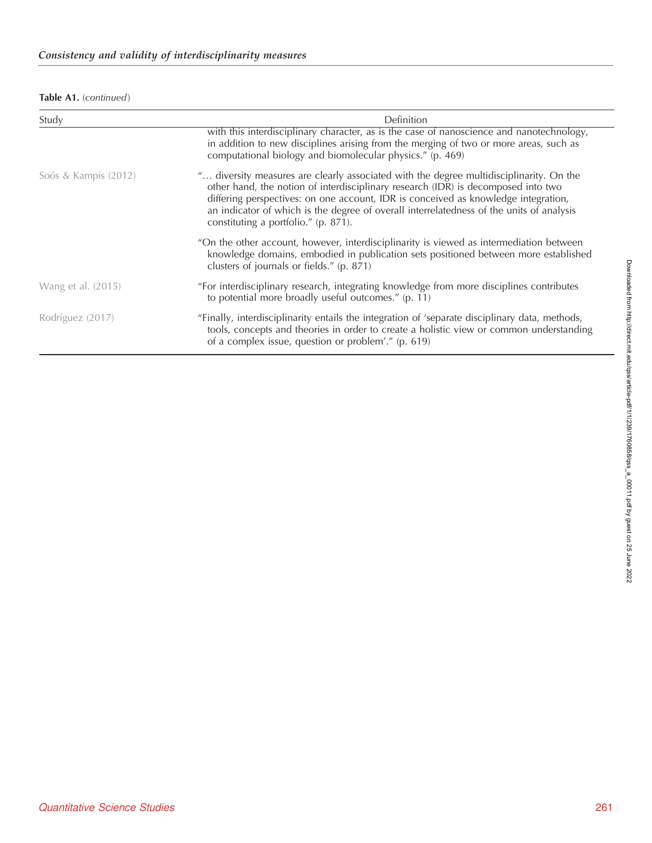|  | Table A1. (continued) |
|--|-----------------------|
|--|-----------------------|

| Study                | Definition                                                                                                                                                                                                                                                                                                                                                                                             |
|----------------------|--------------------------------------------------------------------------------------------------------------------------------------------------------------------------------------------------------------------------------------------------------------------------------------------------------------------------------------------------------------------------------------------------------|
|                      | with this interdisciplinary character, as is the case of nanoscience and nanotechnology,<br>in addition to new disciplines arising from the merging of two or more areas, such as<br>computational biology and biomolecular physics." (p. 469)                                                                                                                                                         |
| Soós & Kampis (2012) | " diversity measures are clearly associated with the degree multidisciplinarity. On the<br>other hand, the notion of interdisciplinary research (IDR) is decomposed into two<br>differing perspectives: on one account, IDR is conceived as knowledge integration,<br>an indicator of which is the degree of overall interrelatedness of the units of analysis<br>constituting a portfolio." (p. 871). |
|                      | "On the other account, however, interdisciplinarity is viewed as intermediation between<br>knowledge domains, embodied in publication sets positioned between more established<br>clusters of journals or fields." (p. 871)                                                                                                                                                                            |
| Wang et al. (2015)   | "For interdisciplinary research, integrating knowledge from more disciplines contributes<br>to potential more broadly useful outcomes." (p. 11)                                                                                                                                                                                                                                                        |
| Rodríguez (2017)     | "Finally, interdisciplinarity entails the integration of 'separate disciplinary data, methods,<br>tools, concepts and theories in order to create a holistic view or common understanding<br>of a complex issue, question or problem'." (p. 619)                                                                                                                                                       |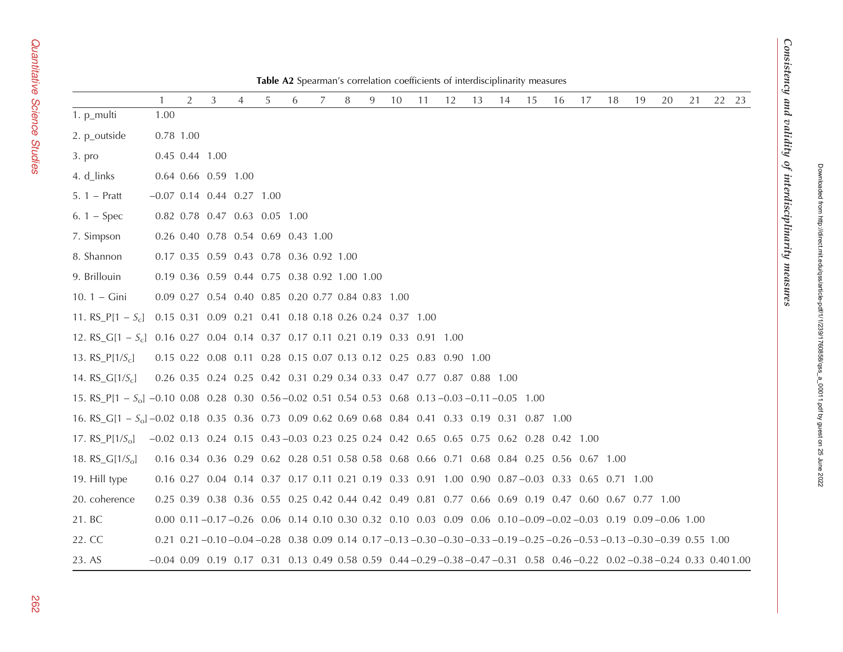<span id="page-23-0"></span>

| <b>Table A2</b> Spearman's correlation coefficients of interdisciplinarity measures                            |                                                                                                                                           |                |                                                                                                                                                                         |   |   |   |   |   |   |    |    |    |    |    |    |    |    |    |    |    |    |  |       |
|----------------------------------------------------------------------------------------------------------------|-------------------------------------------------------------------------------------------------------------------------------------------|----------------|-------------------------------------------------------------------------------------------------------------------------------------------------------------------------|---|---|---|---|---|---|----|----|----|----|----|----|----|----|----|----|----|----|--|-------|
|                                                                                                                | $\mathbf{1}$                                                                                                                              | $\overline{2}$ | 3                                                                                                                                                                       | 4 | 5 | 6 | 7 | 8 | 9 | 10 | 11 | 12 | 13 | 14 | 15 | 16 | 17 | 18 | 19 | 20 | 21 |  | 22 23 |
| 1. p_multi                                                                                                     | 1.00                                                                                                                                      |                |                                                                                                                                                                         |   |   |   |   |   |   |    |    |    |    |    |    |    |    |    |    |    |    |  |       |
| 2. p_outside                                                                                                   |                                                                                                                                           | 0.78 1.00      |                                                                                                                                                                         |   |   |   |   |   |   |    |    |    |    |    |    |    |    |    |    |    |    |  |       |
| 3. pro                                                                                                         |                                                                                                                                           |                | 0.45 0.44 1.00                                                                                                                                                          |   |   |   |   |   |   |    |    |    |    |    |    |    |    |    |    |    |    |  |       |
| 4. d_links                                                                                                     |                                                                                                                                           |                | 0.64 0.66 0.59 1.00                                                                                                                                                     |   |   |   |   |   |   |    |    |    |    |    |    |    |    |    |    |    |    |  |       |
| $5.1 - Pratt$                                                                                                  | $-0.07$ 0.14 0.44 0.27 1.00                                                                                                               |                |                                                                                                                                                                         |   |   |   |   |   |   |    |    |    |    |    |    |    |    |    |    |    |    |  |       |
| $6.1 - Spec$                                                                                                   |                                                                                                                                           |                | 0.82 0.78 0.47 0.63 0.05 1.00                                                                                                                                           |   |   |   |   |   |   |    |    |    |    |    |    |    |    |    |    |    |    |  |       |
| 7. Simpson                                                                                                     |                                                                                                                                           |                | 0.26 0.40 0.78 0.54 0.69 0.43 1.00                                                                                                                                      |   |   |   |   |   |   |    |    |    |    |    |    |    |    |    |    |    |    |  |       |
| 8. Shannon                                                                                                     |                                                                                                                                           |                | 0.17 0.35 0.59 0.43 0.78 0.36 0.92 1.00                                                                                                                                 |   |   |   |   |   |   |    |    |    |    |    |    |    |    |    |    |    |    |  |       |
| 9. Brillouin                                                                                                   |                                                                                                                                           |                | 0.19 0.36 0.59 0.44 0.75 0.38 0.92 1.00 1.00                                                                                                                            |   |   |   |   |   |   |    |    |    |    |    |    |    |    |    |    |    |    |  |       |
| 10. $1 -$ Gini                                                                                                 |                                                                                                                                           |                | 0.09 0.27 0.54 0.40 0.85 0.20 0.77 0.84 0.83 1.00                                                                                                                       |   |   |   |   |   |   |    |    |    |    |    |    |    |    |    |    |    |    |  |       |
| 11. RS_P[1 - S <sub>c</sub> ] 0.15 0.31 0.09 0.21 0.41 0.18 0.18 0.26 0.24 0.37 1.00                           |                                                                                                                                           |                |                                                                                                                                                                         |   |   |   |   |   |   |    |    |    |    |    |    |    |    |    |    |    |    |  |       |
| 12. RS_G[1 - S <sub>c</sub> ] 0.16 0.27 0.04 0.14 0.37 0.17 0.11 0.21 0.19 0.33 0.91 1.00                      |                                                                                                                                           |                |                                                                                                                                                                         |   |   |   |   |   |   |    |    |    |    |    |    |    |    |    |    |    |    |  |       |
| 13. $RS_P[1/S_c]$                                                                                              |                                                                                                                                           |                | 0.15 0.22 0.08 0.11 0.28 0.15 0.07 0.13 0.12 0.25 0.83 0.90 1.00                                                                                                        |   |   |   |   |   |   |    |    |    |    |    |    |    |    |    |    |    |    |  |       |
| 14. $RS_{G}[1/S_{c}]$                                                                                          |                                                                                                                                           |                | 0.26 0.35 0.24 0.25 0.42 0.31 0.29 0.34 0.33 0.47 0.77 0.87 0.88 1.00                                                                                                   |   |   |   |   |   |   |    |    |    |    |    |    |    |    |    |    |    |    |  |       |
| 15. RS_P[1 - $S_0$ ] -0.10 0.08 0.28 0.30 0.56 -0.02 0.51 0.54 0.53 0.68 0.13 -0.03 -0.11 -0.05 1.00           |                                                                                                                                           |                |                                                                                                                                                                         |   |   |   |   |   |   |    |    |    |    |    |    |    |    |    |    |    |    |  |       |
| 16. RS_G[1 - S <sub>o</sub> ] -0.02 0.18 0.35 0.36 0.73 0.09 0.62 0.69 0.68 0.84 0.41 0.33 0.19 0.31 0.87 1.00 |                                                                                                                                           |                |                                                                                                                                                                         |   |   |   |   |   |   |    |    |    |    |    |    |    |    |    |    |    |    |  |       |
| 17. RS $P[1/S_0]$                                                                                              | $-0.02$ 0.13 0.24 0.15 0.43 $-0.03$ 0.23 0.25 0.24 0.42 0.65 0.65 0.75 0.62 0.28 0.42 1.00                                                |                |                                                                                                                                                                         |   |   |   |   |   |   |    |    |    |    |    |    |    |    |    |    |    |    |  |       |
| 18. $RS_{G}[1/S_{O}]$                                                                                          |                                                                                                                                           |                | 0.16 0.34 0.36 0.29 0.62 0.28 0.51 0.58 0.58 0.68 0.66 0.71 0.68 0.84 0.25 0.56 0.67 1.00                                                                               |   |   |   |   |   |   |    |    |    |    |    |    |    |    |    |    |    |    |  |       |
| 19. Hill type                                                                                                  |                                                                                                                                           |                | 0.16 0.27 0.04 0.14 0.37 0.17 0.11 0.21 0.19 0.33 0.91 1.00 0.90 0.87 -0.03 0.33 0.65 0.71 1.00                                                                         |   |   |   |   |   |   |    |    |    |    |    |    |    |    |    |    |    |    |  |       |
| 20. coherence                                                                                                  |                                                                                                                                           |                | 0.25 0.39 0.38 0.36 0.55 0.25 0.42 0.44 0.42 0.49 0.81 0.77 0.66 0.69 0.19 0.47 0.60 0.67 0.77 1.00                                                                     |   |   |   |   |   |   |    |    |    |    |    |    |    |    |    |    |    |    |  |       |
| 21. BC                                                                                                         |                                                                                                                                           |                | $0.00$ $0.11$ $-0.17$ $-0.26$ $0.06$ $0.14$ $0.10$ $0.30$ $0.32$ $0.10$ $0.03$ $0.09$ $0.06$ $0.10$ $-0.09$ $-0.02$ $-0.03$ $0.19$ $0.09$ $-0.06$ $1.00$                |   |   |   |   |   |   |    |    |    |    |    |    |    |    |    |    |    |    |  |       |
| 22. CC                                                                                                         |                                                                                                                                           |                | $0.21$ $0.21$ $-0.10$ $-0.04$ $-0.28$ $0.38$ $0.09$ $0.14$ $0.17$ $-0.13$ $-0.30$ $-0.30$ $-0.33$ $-0.19$ $-0.25$ $-0.26$ $-0.53$ $-0.13$ $-0.30$ $-0.39$ $0.55$ $1.00$ |   |   |   |   |   |   |    |    |    |    |    |    |    |    |    |    |    |    |  |       |
| 23. AS                                                                                                         | $-0.04$ 0.09 0.19 0.17 0.31 0.13 0.49 0.58 0.59 0.44 $-0.29$ $-0.38$ $-0.47$ $-0.31$ 0.58 0.46 $-0.22$ 0.02 $-0.38$ $-0.24$ 0.33 0.401.00 |                |                                                                                                                                                                         |   |   |   |   |   |   |    |    |    |    |    |    |    |    |    |    |    |    |  |       |

Downloaded from http://direct.mit.edu/qss/article-pdf/1/1/239/1760858/qss\_a\_00011.pdf by guest on 25 June 2022

Downloaded from http://direct.mit.edu/qss/article-pdf/1/1/239/1760858/qss\_a\_00011.pdf by guest on 25 June 2022

Consistency and validity of interdisciplinarity measures

Consistency and validity of interdisciplinarity measures